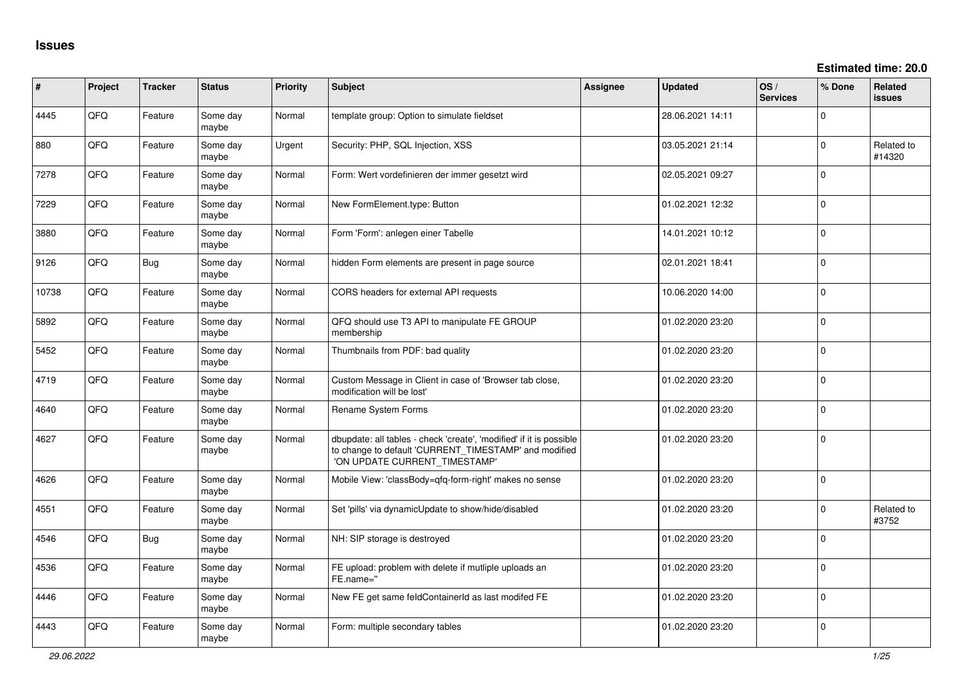**Estimated time: 20.0**

| #     | Project | <b>Tracker</b> | <b>Status</b>     | <b>Priority</b> | <b>Subject</b>                                                                                                                                                | <b>Assignee</b> | <b>Updated</b>   | OS/<br><b>Services</b> | % Done      | Related<br><b>issues</b> |
|-------|---------|----------------|-------------------|-----------------|---------------------------------------------------------------------------------------------------------------------------------------------------------------|-----------------|------------------|------------------------|-------------|--------------------------|
| 4445  | QFQ     | Feature        | Some day<br>maybe | Normal          | template group: Option to simulate fieldset                                                                                                                   |                 | 28.06.2021 14:11 |                        | $\Omega$    |                          |
| 880   | QFQ     | Feature        | Some day<br>maybe | Urgent          | Security: PHP, SQL Injection, XSS                                                                                                                             |                 | 03.05.2021 21:14 |                        | $\mathbf 0$ | Related to<br>#14320     |
| 7278  | QFQ     | Feature        | Some day<br>maybe | Normal          | Form: Wert vordefinieren der immer gesetzt wird                                                                                                               |                 | 02.05.2021 09:27 |                        | $\Omega$    |                          |
| 7229  | QFQ     | Feature        | Some day<br>maybe | Normal          | New FormElement.type: Button                                                                                                                                  |                 | 01.02.2021 12:32 |                        | $\Omega$    |                          |
| 3880  | QFQ     | Feature        | Some day<br>maybe | Normal          | Form 'Form': anlegen einer Tabelle                                                                                                                            |                 | 14.01.2021 10:12 |                        | $\Omega$    |                          |
| 9126  | QFQ     | Bug            | Some day<br>maybe | Normal          | hidden Form elements are present in page source                                                                                                               |                 | 02.01.2021 18:41 |                        | $\mathbf 0$ |                          |
| 10738 | QFQ     | Feature        | Some day<br>maybe | Normal          | CORS headers for external API requests                                                                                                                        |                 | 10.06.2020 14:00 |                        | $\Omega$    |                          |
| 5892  | QFQ     | Feature        | Some day<br>maybe | Normal          | QFQ should use T3 API to manipulate FE GROUP<br>membership                                                                                                    |                 | 01.02.2020 23:20 |                        | $\Omega$    |                          |
| 5452  | QFQ     | Feature        | Some day<br>maybe | Normal          | Thumbnails from PDF: bad quality                                                                                                                              |                 | 01.02.2020 23:20 |                        | $\Omega$    |                          |
| 4719  | QFQ     | Feature        | Some day<br>maybe | Normal          | Custom Message in Client in case of 'Browser tab close,<br>modification will be lost'                                                                         |                 | 01.02.2020 23:20 |                        | $\Omega$    |                          |
| 4640  | QFQ     | Feature        | Some day<br>maybe | Normal          | Rename System Forms                                                                                                                                           |                 | 01.02.2020 23:20 |                        | $\mathbf 0$ |                          |
| 4627  | QFQ     | Feature        | Some day<br>maybe | Normal          | dbupdate: all tables - check 'create', 'modified' if it is possible<br>to change to default 'CURRENT_TIMESTAMP' and modified<br>'ON UPDATE CURRENT TIMESTAMP' |                 | 01.02.2020 23:20 |                        | $\Omega$    |                          |
| 4626  | QFQ     | Feature        | Some day<br>maybe | Normal          | Mobile View: 'classBody=qfq-form-right' makes no sense                                                                                                        |                 | 01.02.2020 23:20 |                        | $\Omega$    |                          |
| 4551  | QFQ     | Feature        | Some day<br>maybe | Normal          | Set 'pills' via dynamicUpdate to show/hide/disabled                                                                                                           |                 | 01.02.2020 23:20 |                        | $\Omega$    | Related to<br>#3752      |
| 4546  | QFQ     | Bug            | Some day<br>maybe | Normal          | NH: SIP storage is destroyed                                                                                                                                  |                 | 01.02.2020 23:20 |                        | $\Omega$    |                          |
| 4536  | QFQ     | Feature        | Some day<br>maybe | Normal          | FE upload: problem with delete if mutliple uploads an<br>FE.name="                                                                                            |                 | 01.02.2020 23:20 |                        | $\Omega$    |                          |
| 4446  | QFQ     | Feature        | Some day<br>maybe | Normal          | New FE get same feldContainerId as last modifed FE                                                                                                            |                 | 01.02.2020 23:20 |                        | $\Omega$    |                          |
| 4443  | QFQ     | Feature        | Some day<br>maybe | Normal          | Form: multiple secondary tables                                                                                                                               |                 | 01.02.2020 23:20 |                        | $\Omega$    |                          |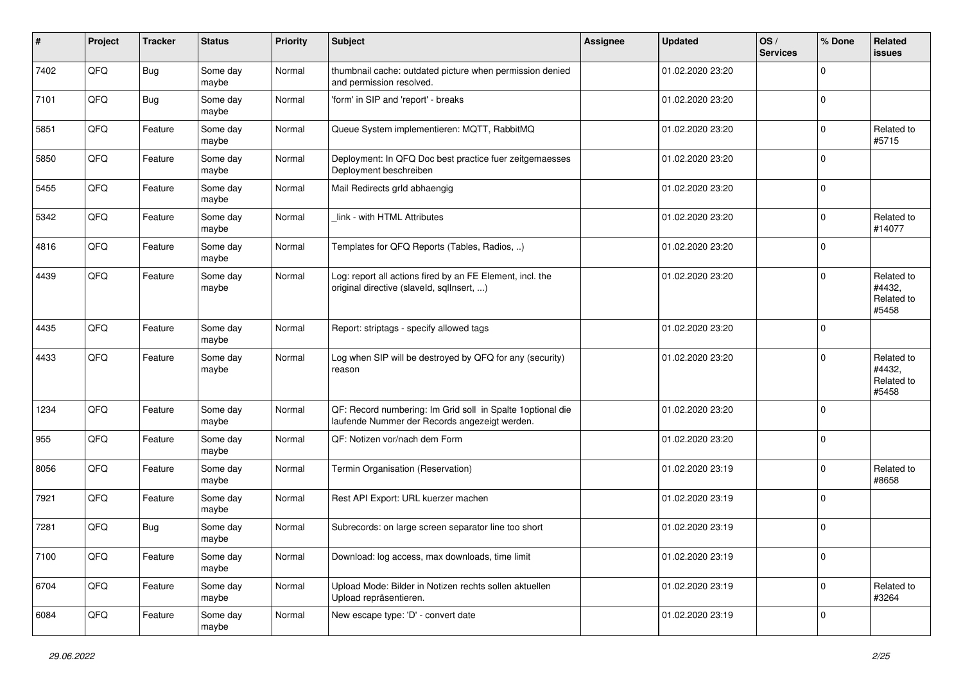| #    | Project | <b>Tracker</b> | <b>Status</b>     | <b>Priority</b> | <b>Subject</b>                                                                                              | <b>Assignee</b> | <b>Updated</b>   | OS/<br><b>Services</b> | % Done      | Related<br>issues                           |
|------|---------|----------------|-------------------|-----------------|-------------------------------------------------------------------------------------------------------------|-----------------|------------------|------------------------|-------------|---------------------------------------------|
| 7402 | QFQ     | <b>Bug</b>     | Some day<br>maybe | Normal          | thumbnail cache: outdated picture when permission denied<br>and permission resolved.                        |                 | 01.02.2020 23:20 |                        | $\Omega$    |                                             |
| 7101 | QFQ     | Bug            | Some day<br>maybe | Normal          | 'form' in SIP and 'report' - breaks                                                                         |                 | 01.02.2020 23:20 |                        | $\mathbf 0$ |                                             |
| 5851 | QFQ     | Feature        | Some day<br>maybe | Normal          | Queue System implementieren: MQTT, RabbitMQ                                                                 |                 | 01.02.2020 23:20 |                        | $\Omega$    | Related to<br>#5715                         |
| 5850 | QFQ     | Feature        | Some day<br>maybe | Normal          | Deployment: In QFQ Doc best practice fuer zeitgemaesses<br>Deployment beschreiben                           |                 | 01.02.2020 23:20 |                        | $\Omega$    |                                             |
| 5455 | QFQ     | Feature        | Some day<br>maybe | Normal          | Mail Redirects grld abhaengig                                                                               |                 | 01.02.2020 23:20 |                        | $\Omega$    |                                             |
| 5342 | QFQ     | Feature        | Some day<br>maybe | Normal          | link - with HTML Attributes                                                                                 |                 | 01.02.2020 23:20 |                        | $\Omega$    | Related to<br>#14077                        |
| 4816 | QFQ     | Feature        | Some day<br>maybe | Normal          | Templates for QFQ Reports (Tables, Radios, )                                                                |                 | 01.02.2020 23:20 |                        | $\Omega$    |                                             |
| 4439 | QFQ     | Feature        | Some day<br>maybe | Normal          | Log: report all actions fired by an FE Element, incl. the<br>original directive (slaveld, sqlInsert, )      |                 | 01.02.2020 23:20 |                        | $\Omega$    | Related to<br>#4432,<br>Related to<br>#5458 |
| 4435 | QFQ     | Feature        | Some day<br>maybe | Normal          | Report: striptags - specify allowed tags                                                                    |                 | 01.02.2020 23:20 |                        | $\Omega$    |                                             |
| 4433 | QFQ     | Feature        | Some day<br>maybe | Normal          | Log when SIP will be destroyed by QFQ for any (security)<br>reason                                          |                 | 01.02.2020 23:20 |                        | $\Omega$    | Related to<br>#4432,<br>Related to<br>#5458 |
| 1234 | QFQ     | Feature        | Some day<br>maybe | Normal          | QF: Record numbering: Im Grid soll in Spalte 1optional die<br>laufende Nummer der Records angezeigt werden. |                 | 01.02.2020 23:20 |                        | $\Omega$    |                                             |
| 955  | QFQ     | Feature        | Some day<br>maybe | Normal          | QF: Notizen vor/nach dem Form                                                                               |                 | 01.02.2020 23:20 |                        | 0           |                                             |
| 8056 | QFQ     | Feature        | Some day<br>maybe | Normal          | Termin Organisation (Reservation)                                                                           |                 | 01.02.2020 23:19 |                        | 0           | Related to<br>#8658                         |
| 7921 | QFQ     | Feature        | Some day<br>maybe | Normal          | Rest API Export: URL kuerzer machen                                                                         |                 | 01.02.2020 23:19 |                        | $\mathbf 0$ |                                             |
| 7281 | QFQ     | Bug            | Some day<br>maybe | Normal          | Subrecords: on large screen separator line too short                                                        |                 | 01.02.2020 23:19 |                        | $\Omega$    |                                             |
| 7100 | QFQ     | Feature        | Some day<br>maybe | Normal          | Download: log access, max downloads, time limit                                                             |                 | 01.02.2020 23:19 |                        | 0           |                                             |
| 6704 | QFQ     | Feature        | Some day<br>maybe | Normal          | Upload Mode: Bilder in Notizen rechts sollen aktuellen<br>Upload repräsentieren.                            |                 | 01.02.2020 23:19 |                        | $\mathbf 0$ | Related to<br>#3264                         |
| 6084 | QFQ     | Feature        | Some day<br>maybe | Normal          | New escape type: 'D' - convert date                                                                         |                 | 01.02.2020 23:19 |                        | $\mathbf 0$ |                                             |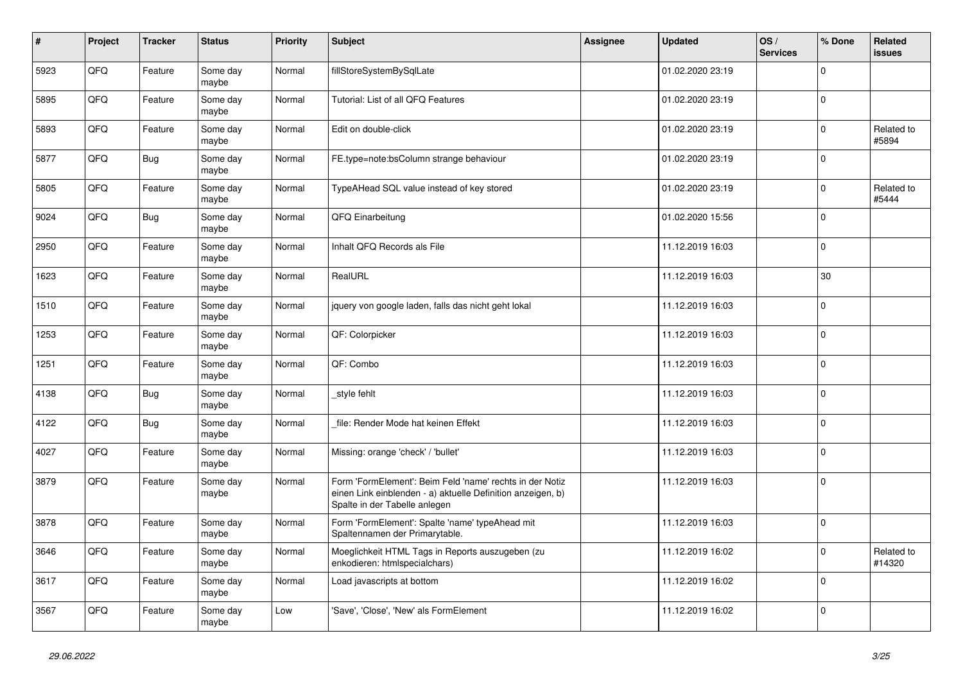| $\vert$ # | Project | <b>Tracker</b> | <b>Status</b>     | <b>Priority</b> | <b>Subject</b>                                                                                                                                           | <b>Assignee</b> | <b>Updated</b>   | OS/<br><b>Services</b> | % Done      | Related<br><b>issues</b> |
|-----------|---------|----------------|-------------------|-----------------|----------------------------------------------------------------------------------------------------------------------------------------------------------|-----------------|------------------|------------------------|-------------|--------------------------|
| 5923      | QFQ     | Feature        | Some day<br>maybe | Normal          | fillStoreSystemBySqlLate                                                                                                                                 |                 | 01.02.2020 23:19 |                        | $\Omega$    |                          |
| 5895      | QFQ     | Feature        | Some day<br>maybe | Normal          | Tutorial: List of all QFQ Features                                                                                                                       |                 | 01.02.2020 23:19 |                        | $\mathbf 0$ |                          |
| 5893      | QFQ     | Feature        | Some day<br>maybe | Normal          | Edit on double-click                                                                                                                                     |                 | 01.02.2020 23:19 |                        | $\Omega$    | Related to<br>#5894      |
| 5877      | QFQ     | Bug            | Some day<br>maybe | Normal          | FE.type=note:bsColumn strange behaviour                                                                                                                  |                 | 01.02.2020 23:19 |                        | $\Omega$    |                          |
| 5805      | QFQ     | Feature        | Some day<br>maybe | Normal          | TypeAHead SQL value instead of key stored                                                                                                                |                 | 01.02.2020 23:19 |                        | $\Omega$    | Related to<br>#5444      |
| 9024      | QFQ     | <b>Bug</b>     | Some day<br>maybe | Normal          | QFQ Einarbeitung                                                                                                                                         |                 | 01.02.2020 15:56 |                        | $\Omega$    |                          |
| 2950      | QFQ     | Feature        | Some day<br>maybe | Normal          | Inhalt QFQ Records als File                                                                                                                              |                 | 11.12.2019 16:03 |                        | $\Omega$    |                          |
| 1623      | QFQ     | Feature        | Some day<br>maybe | Normal          | RealURL                                                                                                                                                  |                 | 11.12.2019 16:03 |                        | 30          |                          |
| 1510      | QFQ     | Feature        | Some day<br>maybe | Normal          | jquery von google laden, falls das nicht geht lokal                                                                                                      |                 | 11.12.2019 16:03 |                        | 0           |                          |
| 1253      | QFQ     | Feature        | Some day<br>maybe | Normal          | QF: Colorpicker                                                                                                                                          |                 | 11.12.2019 16:03 |                        | $\Omega$    |                          |
| 1251      | QFQ     | Feature        | Some day<br>maybe | Normal          | QF: Combo                                                                                                                                                |                 | 11.12.2019 16:03 |                        | $\Omega$    |                          |
| 4138      | QFQ     | <b>Bug</b>     | Some day<br>maybe | Normal          | style fehlt                                                                                                                                              |                 | 11.12.2019 16:03 |                        | $\Omega$    |                          |
| 4122      | QFQ     | <b>Bug</b>     | Some day<br>maybe | Normal          | file: Render Mode hat keinen Effekt                                                                                                                      |                 | 11.12.2019 16:03 |                        | $\Omega$    |                          |
| 4027      | QFQ     | Feature        | Some day<br>maybe | Normal          | Missing: orange 'check' / 'bullet'                                                                                                                       |                 | 11.12.2019 16:03 |                        | $\Omega$    |                          |
| 3879      | QFQ     | Feature        | Some day<br>maybe | Normal          | Form 'FormElement': Beim Feld 'name' rechts in der Notiz<br>einen Link einblenden - a) aktuelle Definition anzeigen, b)<br>Spalte in der Tabelle anlegen |                 | 11.12.2019 16:03 |                        | $\Omega$    |                          |
| 3878      | QFQ     | Feature        | Some day<br>maybe | Normal          | Form 'FormElement': Spalte 'name' typeAhead mit<br>Spaltennamen der Primarytable.                                                                        |                 | 11.12.2019 16:03 |                        | $\mathbf 0$ |                          |
| 3646      | QFQ     | Feature        | Some day<br>maybe | Normal          | Moeglichkeit HTML Tags in Reports auszugeben (zu<br>enkodieren: htmlspecialchars)                                                                        |                 | 11.12.2019 16:02 |                        | $\Omega$    | Related to<br>#14320     |
| 3617      | QFQ     | Feature        | Some day<br>maybe | Normal          | Load javascripts at bottom                                                                                                                               |                 | 11.12.2019 16:02 |                        | $\Omega$    |                          |
| 3567      | QFQ     | Feature        | Some day<br>maybe | Low             | 'Save', 'Close', 'New' als FormElement                                                                                                                   |                 | 11.12.2019 16:02 |                        | $\mathbf 0$ |                          |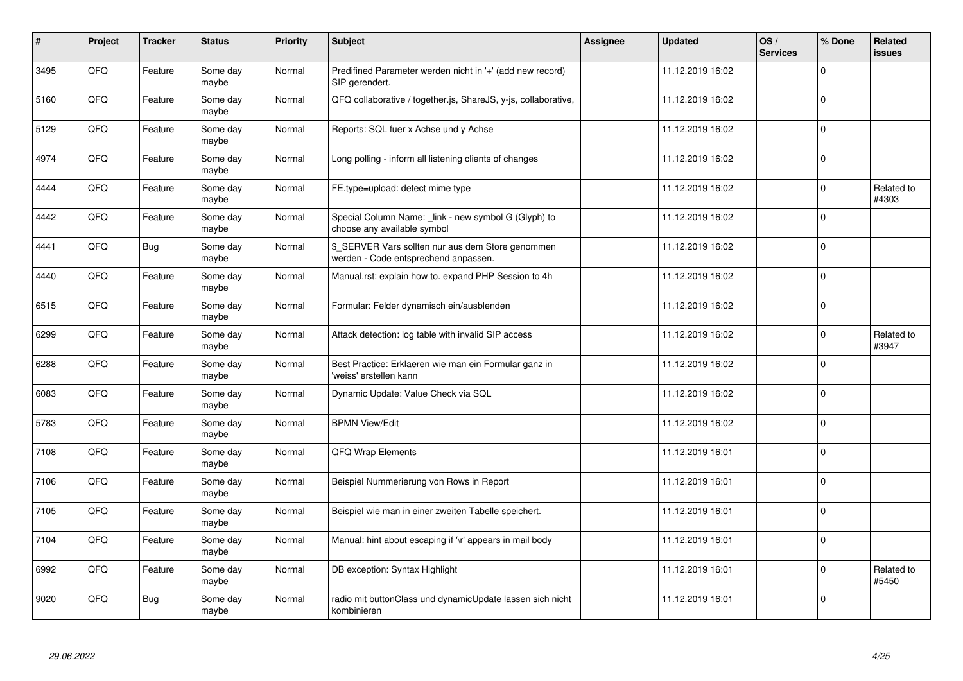| #    | Project | <b>Tracker</b> | <b>Status</b>     | <b>Priority</b> | <b>Subject</b>                                                                            | Assignee | <b>Updated</b>   | OS/<br><b>Services</b> | % Done      | Related<br><b>issues</b> |
|------|---------|----------------|-------------------|-----------------|-------------------------------------------------------------------------------------------|----------|------------------|------------------------|-------------|--------------------------|
| 3495 | QFQ     | Feature        | Some day<br>maybe | Normal          | Predifined Parameter werden nicht in '+' (add new record)<br>SIP gerendert.               |          | 11.12.2019 16:02 |                        | $\Omega$    |                          |
| 5160 | QFQ     | Feature        | Some day<br>maybe | Normal          | QFQ collaborative / together.js, ShareJS, y-js, collaborative,                            |          | 11.12.2019 16:02 |                        | $\Omega$    |                          |
| 5129 | QFQ     | Feature        | Some day<br>maybe | Normal          | Reports: SQL fuer x Achse und y Achse                                                     |          | 11.12.2019 16:02 |                        | $\mathbf 0$ |                          |
| 4974 | QFQ     | Feature        | Some day<br>maybe | Normal          | Long polling - inform all listening clients of changes                                    |          | 11.12.2019 16:02 |                        | $\Omega$    |                          |
| 4444 | QFQ     | Feature        | Some day<br>maybe | Normal          | FE.type=upload: detect mime type                                                          |          | 11.12.2019 16:02 |                        | $\Omega$    | Related to<br>#4303      |
| 4442 | QFQ     | Feature        | Some day<br>maybe | Normal          | Special Column Name: _link - new symbol G (Glyph) to<br>choose any available symbol       |          | 11.12.2019 16:02 |                        | $\mathbf 0$ |                          |
| 4441 | QFQ     | Bug            | Some day<br>maybe | Normal          | \$ SERVER Vars sollten nur aus dem Store genommen<br>werden - Code entsprechend anpassen. |          | 11.12.2019 16:02 |                        | $\Omega$    |                          |
| 4440 | QFQ     | Feature        | Some day<br>maybe | Normal          | Manual.rst: explain how to. expand PHP Session to 4h                                      |          | 11.12.2019 16:02 |                        | $\Omega$    |                          |
| 6515 | QFQ     | Feature        | Some day<br>maybe | Normal          | Formular: Felder dynamisch ein/ausblenden                                                 |          | 11.12.2019 16:02 |                        | $\Omega$    |                          |
| 6299 | QFQ     | Feature        | Some day<br>maybe | Normal          | Attack detection: log table with invalid SIP access                                       |          | 11.12.2019 16:02 |                        | 0           | Related to<br>#3947      |
| 6288 | QFQ     | Feature        | Some day<br>maybe | Normal          | Best Practice: Erklaeren wie man ein Formular ganz in<br>'weiss' erstellen kann           |          | 11.12.2019 16:02 |                        | $\Omega$    |                          |
| 6083 | QFQ     | Feature        | Some day<br>maybe | Normal          | Dynamic Update: Value Check via SQL                                                       |          | 11.12.2019 16:02 |                        | $\Omega$    |                          |
| 5783 | QFQ     | Feature        | Some day<br>maybe | Normal          | <b>BPMN View/Edit</b>                                                                     |          | 11.12.2019 16:02 |                        | $\mathbf 0$ |                          |
| 7108 | QFQ     | Feature        | Some day<br>maybe | Normal          | QFQ Wrap Elements                                                                         |          | 11.12.2019 16:01 |                        | $\Omega$    |                          |
| 7106 | QFQ     | Feature        | Some day<br>maybe | Normal          | Beispiel Nummerierung von Rows in Report                                                  |          | 11.12.2019 16:01 |                        | $\Omega$    |                          |
| 7105 | QFQ     | Feature        | Some day<br>maybe | Normal          | Beispiel wie man in einer zweiten Tabelle speichert.                                      |          | 11.12.2019 16:01 |                        | $\Omega$    |                          |
| 7104 | QFQ     | Feature        | Some day<br>maybe | Normal          | Manual: hint about escaping if '\r' appears in mail body                                  |          | 11.12.2019 16:01 |                        | $\Omega$    |                          |
| 6992 | QFQ     | Feature        | Some day<br>maybe | Normal          | DB exception: Syntax Highlight                                                            |          | 11.12.2019 16:01 |                        | $\Omega$    | Related to<br>#5450      |
| 9020 | QFQ     | Bug            | Some day<br>maybe | Normal          | radio mit buttonClass und dynamicUpdate lassen sich nicht<br>kombinieren                  |          | 11.12.2019 16:01 |                        | $\Omega$    |                          |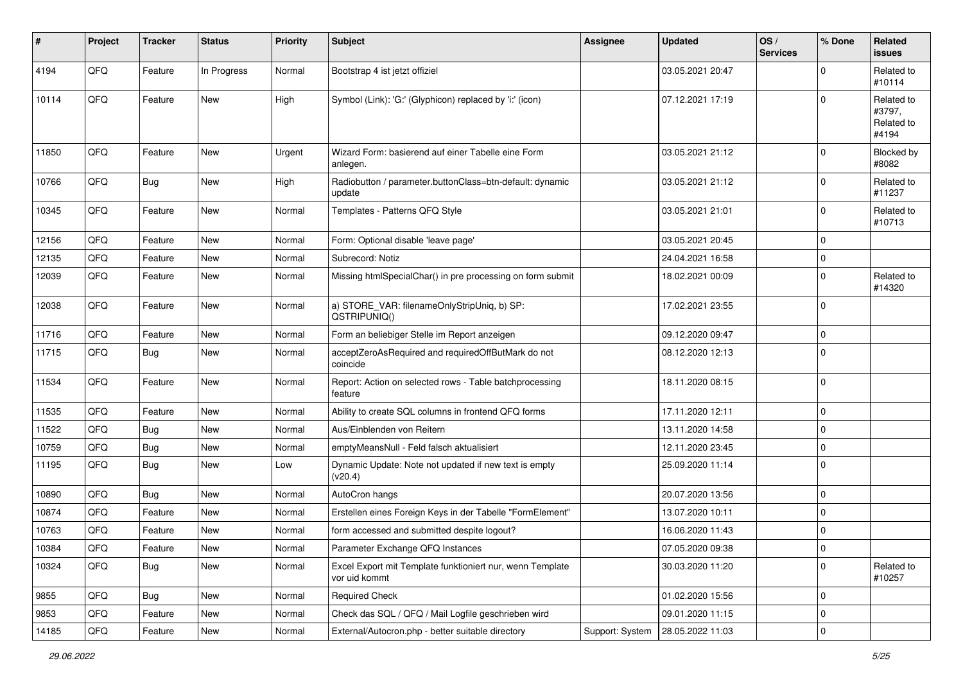| #     | Project | <b>Tracker</b> | <b>Status</b> | Priority | Subject                                                                    | Assignee        | <b>Updated</b>   | OS/<br><b>Services</b> | % Done      | Related<br><b>issues</b>                    |
|-------|---------|----------------|---------------|----------|----------------------------------------------------------------------------|-----------------|------------------|------------------------|-------------|---------------------------------------------|
| 4194  | QFQ     | Feature        | In Progress   | Normal   | Bootstrap 4 ist jetzt offiziel                                             |                 | 03.05.2021 20:47 |                        | $\Omega$    | Related to<br>#10114                        |
| 10114 | QFQ     | Feature        | New           | High     | Symbol (Link): 'G:' (Glyphicon) replaced by 'i:' (icon)                    |                 | 07.12.2021 17:19 |                        | $\mathbf 0$ | Related to<br>#3797,<br>Related to<br>#4194 |
| 11850 | QFQ     | Feature        | New           | Urgent   | Wizard Form: basierend auf einer Tabelle eine Form<br>anlegen.             |                 | 03.05.2021 21:12 |                        | $\Omega$    | Blocked by<br>#8082                         |
| 10766 | QFQ     | Bug            | New           | High     | Radiobutton / parameter.buttonClass=btn-default: dynamic<br>update         |                 | 03.05.2021 21:12 |                        | $\mathbf 0$ | Related to<br>#11237                        |
| 10345 | QFQ     | Feature        | New           | Normal   | Templates - Patterns QFQ Style                                             |                 | 03.05.2021 21:01 |                        | $\Omega$    | Related to<br>#10713                        |
| 12156 | QFQ     | Feature        | New           | Normal   | Form: Optional disable 'leave page'                                        |                 | 03.05.2021 20:45 |                        | $\mathbf 0$ |                                             |
| 12135 | QFQ     | Feature        | New           | Normal   | Subrecord: Notiz                                                           |                 | 24.04.2021 16:58 |                        | $\mathbf 0$ |                                             |
| 12039 | QFQ     | Feature        | New           | Normal   | Missing htmlSpecialChar() in pre processing on form submit                 |                 | 18.02.2021 00:09 |                        | $\Omega$    | Related to<br>#14320                        |
| 12038 | QFQ     | Feature        | New           | Normal   | a) STORE_VAR: filenameOnlyStripUniq, b) SP:<br>QSTRIPUNIQ()                |                 | 17.02.2021 23:55 |                        | $\mathbf 0$ |                                             |
| 11716 | QFQ     | Feature        | New           | Normal   | Form an beliebiger Stelle im Report anzeigen                               |                 | 09.12.2020 09:47 |                        | 0           |                                             |
| 11715 | QFQ     | Bug            | New           | Normal   | acceptZeroAsRequired and requiredOffButMark do not<br>coincide             |                 | 08.12.2020 12:13 |                        | $\Omega$    |                                             |
| 11534 | QFQ     | Feature        | New           | Normal   | Report: Action on selected rows - Table batchprocessing<br>feature         |                 | 18.11.2020 08:15 |                        | $\Omega$    |                                             |
| 11535 | QFQ     | Feature        | New           | Normal   | Ability to create SQL columns in frontend QFQ forms                        |                 | 17.11.2020 12:11 |                        | $\mathbf 0$ |                                             |
| 11522 | QFQ     | Bug            | New           | Normal   | Aus/Einblenden von Reitern                                                 |                 | 13.11.2020 14:58 |                        | $\mathbf 0$ |                                             |
| 10759 | QFQ     | <b>Bug</b>     | New           | Normal   | emptyMeansNull - Feld falsch aktualisiert                                  |                 | 12.11.2020 23:45 |                        | 0           |                                             |
| 11195 | QFQ     | Bug            | New           | Low      | Dynamic Update: Note not updated if new text is empty<br>(v20.4)           |                 | 25.09.2020 11:14 |                        | $\Omega$    |                                             |
| 10890 | QFQ     | Bug            | New           | Normal   | AutoCron hangs                                                             |                 | 20.07.2020 13:56 |                        | $\mathbf 0$ |                                             |
| 10874 | QFQ     | Feature        | New           | Normal   | Erstellen eines Foreign Keys in der Tabelle "FormElement"                  |                 | 13.07.2020 10:11 |                        | 0           |                                             |
| 10763 | QFQ     | Feature        | New           | Normal   | form accessed and submitted despite logout?                                |                 | 16.06.2020 11:43 |                        | $\Omega$    |                                             |
| 10384 | QFQ     | Feature        | <b>New</b>    | Normal   | Parameter Exchange QFQ Instances                                           |                 | 07.05.2020 09:38 |                        | 0           |                                             |
| 10324 | QFQ     | Bug            | New           | Normal   | Excel Export mit Template funktioniert nur, wenn Template<br>vor uid kommt |                 | 30.03.2020 11:20 |                        | $\mathbf 0$ | Related to<br>#10257                        |
| 9855  | QFQ     | Bug            | New           | Normal   | <b>Required Check</b>                                                      |                 | 01.02.2020 15:56 |                        | $\mathbf 0$ |                                             |
| 9853  | QFQ     | Feature        | New           | Normal   | Check das SQL / QFQ / Mail Logfile geschrieben wird                        |                 | 09.01.2020 11:15 |                        | $\mathbf 0$ |                                             |
| 14185 | QFQ     | Feature        | New           | Normal   | External/Autocron.php - better suitable directory                          | Support: System | 28.05.2022 11:03 |                        | $\mathbf 0$ |                                             |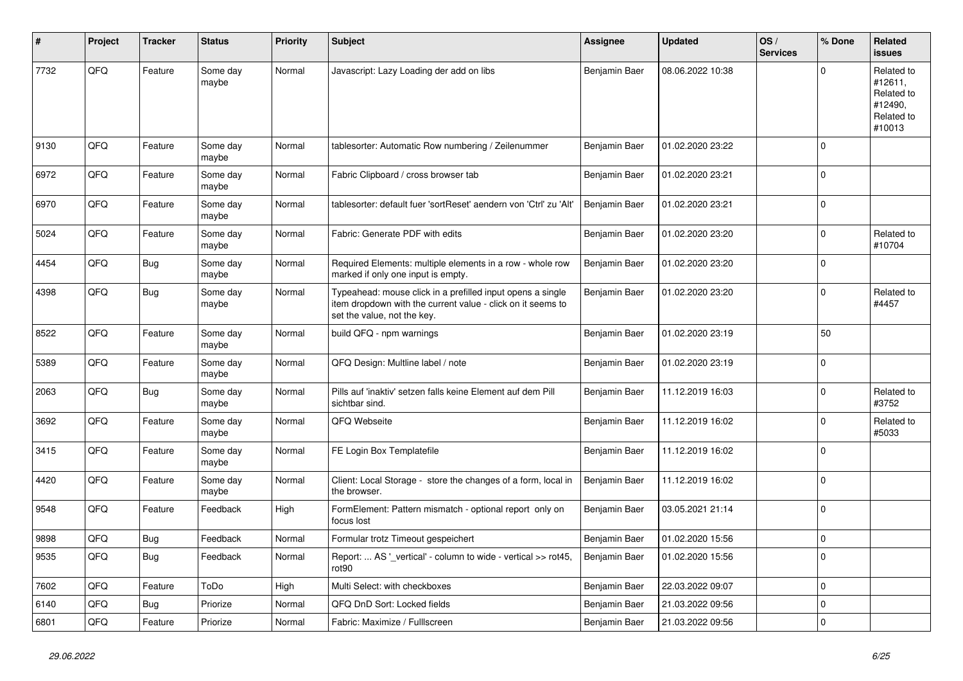| $\#$ | Project | <b>Tracker</b> | <b>Status</b>     | <b>Priority</b> | <b>Subject</b>                                                                                                                                           | Assignee      | <b>Updated</b>   | OS/<br><b>Services</b> | % Done      | Related<br><b>issues</b>                                               |
|------|---------|----------------|-------------------|-----------------|----------------------------------------------------------------------------------------------------------------------------------------------------------|---------------|------------------|------------------------|-------------|------------------------------------------------------------------------|
| 7732 | QFQ     | Feature        | Some day<br>maybe | Normal          | Javascript: Lazy Loading der add on libs                                                                                                                 | Benjamin Baer | 08.06.2022 10:38 |                        | O           | Related to<br>#12611,<br>Related to<br>#12490,<br>Related to<br>#10013 |
| 9130 | QFQ     | Feature        | Some day<br>maybe | Normal          | tablesorter: Automatic Row numbering / Zeilenummer                                                                                                       | Benjamin Baer | 01.02.2020 23:22 |                        | $\Omega$    |                                                                        |
| 6972 | QFQ     | Feature        | Some day<br>maybe | Normal          | Fabric Clipboard / cross browser tab                                                                                                                     | Benjamin Baer | 01.02.2020 23:21 |                        | $\mathbf 0$ |                                                                        |
| 6970 | QFQ     | Feature        | Some day<br>maybe | Normal          | tablesorter: default fuer 'sortReset' aendern von 'Ctrl' zu 'Alt'                                                                                        | Benjamin Baer | 01.02.2020 23:21 |                        | $\Omega$    |                                                                        |
| 5024 | QFQ     | Feature        | Some day<br>maybe | Normal          | Fabric: Generate PDF with edits                                                                                                                          | Benjamin Baer | 01.02.2020 23:20 |                        | $\Omega$    | Related to<br>#10704                                                   |
| 4454 | QFQ     | <b>Bug</b>     | Some day<br>maybe | Normal          | Required Elements: multiple elements in a row - whole row<br>marked if only one input is empty.                                                          | Benjamin Baer | 01.02.2020 23:20 |                        | $\mathbf 0$ |                                                                        |
| 4398 | QFQ     | Bug            | Some day<br>maybe | Normal          | Typeahead: mouse click in a prefilled input opens a single<br>item dropdown with the current value - click on it seems to<br>set the value, not the key. | Benjamin Baer | 01.02.2020 23:20 |                        | $\Omega$    | Related to<br>#4457                                                    |
| 8522 | QFQ     | Feature        | Some day<br>maybe | Normal          | build QFQ - npm warnings                                                                                                                                 | Benjamin Baer | 01.02.2020 23:19 |                        | 50          |                                                                        |
| 5389 | QFQ     | Feature        | Some day<br>maybe | Normal          | QFQ Design: Multline label / note                                                                                                                        | Benjamin Baer | 01.02.2020 23:19 |                        | $\Omega$    |                                                                        |
| 2063 | QFQ     | <b>Bug</b>     | Some day<br>maybe | Normal          | Pills auf 'inaktiv' setzen falls keine Element auf dem Pill<br>sichtbar sind.                                                                            | Benjamin Baer | 11.12.2019 16:03 |                        | $\Omega$    | Related to<br>#3752                                                    |
| 3692 | QFQ     | Feature        | Some day<br>maybe | Normal          | QFQ Webseite                                                                                                                                             | Benjamin Baer | 11.12.2019 16:02 |                        | $\Omega$    | Related to<br>#5033                                                    |
| 3415 | QFQ     | Feature        | Some day<br>maybe | Normal          | FE Login Box Templatefile                                                                                                                                | Benjamin Baer | 11.12.2019 16:02 |                        | $\Omega$    |                                                                        |
| 4420 | QFQ     | Feature        | Some day<br>maybe | Normal          | Client: Local Storage - store the changes of a form, local in<br>the browser.                                                                            | Benjamin Baer | 11.12.2019 16:02 |                        | $\Omega$    |                                                                        |
| 9548 | QFQ     | Feature        | Feedback          | High            | FormElement: Pattern mismatch - optional report only on<br>focus lost                                                                                    | Benjamin Baer | 03.05.2021 21:14 |                        | $\Omega$    |                                                                        |
| 9898 | QFQ     | Bug            | Feedback          | Normal          | Formular trotz Timeout gespeichert                                                                                                                       | Benjamin Baer | 01.02.2020 15:56 |                        | 0           |                                                                        |
| 9535 | QFG     | <b>Bug</b>     | Feedback          | Normal          | Report:  AS '_vertical' - column to wide - vertical >> rot45,<br>rot90                                                                                   | Benjamin Baer | 01.02.2020 15:56 |                        | 0           |                                                                        |
| 7602 | QFG     | Feature        | ToDo              | High            | Multi Select: with checkboxes                                                                                                                            | Benjamin Baer | 22.03.2022 09:07 |                        | $\mathbf 0$ |                                                                        |
| 6140 | QFQ     | <b>Bug</b>     | Priorize          | Normal          | QFQ DnD Sort: Locked fields                                                                                                                              | Benjamin Baer | 21.03.2022 09:56 |                        | 0           |                                                                        |
| 6801 | QFQ     | Feature        | Priorize          | Normal          | Fabric: Maximize / FullIscreen                                                                                                                           | Benjamin Baer | 21.03.2022 09:56 |                        | 0           |                                                                        |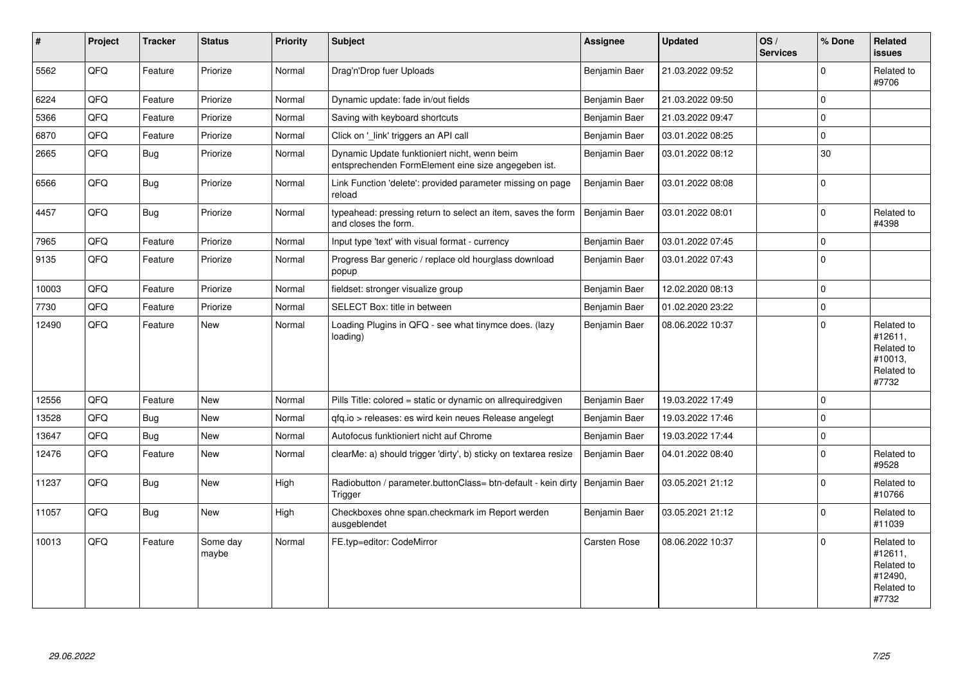| ∦     | Project | <b>Tracker</b> | <b>Status</b>     | <b>Priority</b> | <b>Subject</b>                                                                                      | <b>Assignee</b> | <b>Updated</b>   | OS/<br><b>Services</b> | % Done      | Related<br>issues                                                     |
|-------|---------|----------------|-------------------|-----------------|-----------------------------------------------------------------------------------------------------|-----------------|------------------|------------------------|-------------|-----------------------------------------------------------------------|
| 5562  | QFQ     | Feature        | Priorize          | Normal          | Drag'n'Drop fuer Uploads                                                                            | Benjamin Baer   | 21.03.2022 09:52 |                        | $\Omega$    | Related to<br>#9706                                                   |
| 6224  | QFQ     | Feature        | Priorize          | Normal          | Dynamic update: fade in/out fields                                                                  | Benjamin Baer   | 21.03.2022 09:50 |                        | $\Omega$    |                                                                       |
| 5366  | QFQ     | Feature        | Priorize          | Normal          | Saving with keyboard shortcuts                                                                      | Benjamin Baer   | 21.03.2022 09:47 |                        | $\Omega$    |                                                                       |
| 6870  | QFQ     | Feature        | Priorize          | Normal          | Click on '_link' triggers an API call                                                               | Benjamin Baer   | 03.01.2022 08:25 |                        | $\mathbf 0$ |                                                                       |
| 2665  | QFQ     | <b>Bug</b>     | Priorize          | Normal          | Dynamic Update funktioniert nicht, wenn beim<br>entsprechenden FormElement eine size angegeben ist. | Benjamin Baer   | 03.01.2022 08:12 |                        | 30          |                                                                       |
| 6566  | QFQ     | Bug            | Priorize          | Normal          | Link Function 'delete': provided parameter missing on page<br>reload                                | Benjamin Baer   | 03.01.2022 08:08 |                        | $\mathbf 0$ |                                                                       |
| 4457  | QFQ     | Bug            | Priorize          | Normal          | typeahead: pressing return to select an item, saves the form<br>and closes the form.                | Benjamin Baer   | 03.01.2022 08:01 |                        | $\Omega$    | Related to<br>#4398                                                   |
| 7965  | QFQ     | Feature        | Priorize          | Normal          | Input type 'text' with visual format - currency                                                     | Benjamin Baer   | 03.01.2022 07:45 |                        | $\Omega$    |                                                                       |
| 9135  | QFQ     | Feature        | Priorize          | Normal          | Progress Bar generic / replace old hourglass download<br>popup                                      | Benjamin Baer   | 03.01.2022 07:43 |                        | $\Omega$    |                                                                       |
| 10003 | QFQ     | Feature        | Priorize          | Normal          | fieldset: stronger visualize group                                                                  | Benjamin Baer   | 12.02.2020 08:13 |                        | $\Omega$    |                                                                       |
| 7730  | QFQ     | Feature        | Priorize          | Normal          | SELECT Box: title in between                                                                        | Benjamin Baer   | 01.02.2020 23:22 |                        | $\mathbf 0$ |                                                                       |
| 12490 | QFQ     | Feature        | New               | Normal          | Loading Plugins in QFQ - see what tinymce does. (lazy<br>loading)                                   | Benjamin Baer   | 08.06.2022 10:37 |                        | $\Omega$    | Related to<br>#12611.<br>Related to<br>#10013,<br>Related to<br>#7732 |
| 12556 | QFQ     | Feature        | <b>New</b>        | Normal          | Pills Title: colored = static or dynamic on allrequiredgiven                                        | Benjamin Baer   | 19.03.2022 17:49 |                        | $\Omega$    |                                                                       |
| 13528 | QFQ     | Bug            | New               | Normal          | gfg.io > releases: es wird kein neues Release angelegt                                              | Benjamin Baer   | 19.03.2022 17:46 |                        | $\mathbf 0$ |                                                                       |
| 13647 | QFQ     | Bug            | <b>New</b>        | Normal          | Autofocus funktioniert nicht auf Chrome                                                             | Benjamin Baer   | 19.03.2022 17:44 |                        | $\Omega$    |                                                                       |
| 12476 | QFQ     | Feature        | <b>New</b>        | Normal          | clearMe: a) should trigger 'dirty', b) sticky on textarea resize                                    | Benjamin Baer   | 04.01.2022 08:40 |                        | $\Omega$    | Related to<br>#9528                                                   |
| 11237 | QFQ     | <b>Bug</b>     | New               | High            | Radiobutton / parameter.buttonClass= btn-default - kein dirty<br>Trigger                            | Benjamin Baer   | 03.05.2021 21:12 |                        | $\Omega$    | Related to<br>#10766                                                  |
| 11057 | QFQ     | Bug            | New               | High            | Checkboxes ohne span.checkmark im Report werden<br>ausgeblendet                                     | Benjamin Baer   | 03.05.2021 21:12 |                        | $\Omega$    | Related to<br>#11039                                                  |
| 10013 | QFQ     | Feature        | Some day<br>maybe | Normal          | FE.typ=editor: CodeMirror                                                                           | Carsten Rose    | 08.06.2022 10:37 |                        | $\Omega$    | Related to<br>#12611.<br>Related to<br>#12490,<br>Related to<br>#7732 |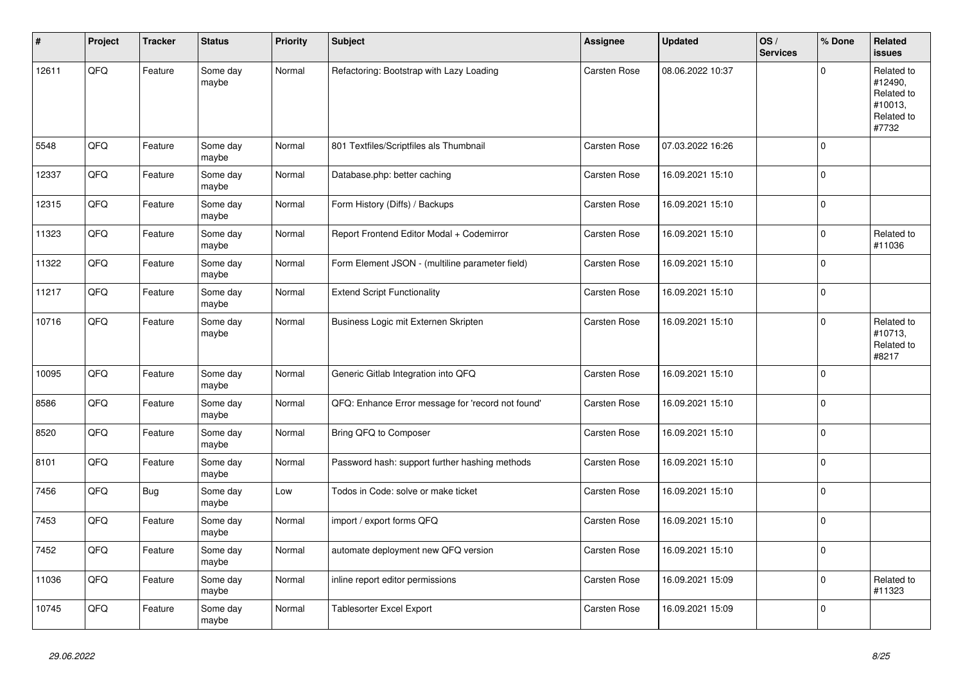| #     | Project | <b>Tracker</b> | <b>Status</b>     | <b>Priority</b> | <b>Subject</b>                                    | <b>Assignee</b>     | <b>Updated</b>   | OS/<br><b>Services</b> | % Done      | Related<br><b>issues</b>                                              |
|-------|---------|----------------|-------------------|-----------------|---------------------------------------------------|---------------------|------------------|------------------------|-------------|-----------------------------------------------------------------------|
| 12611 | QFQ     | Feature        | Some day<br>maybe | Normal          | Refactoring: Bootstrap with Lazy Loading          | Carsten Rose        | 08.06.2022 10:37 |                        | $\Omega$    | Related to<br>#12490,<br>Related to<br>#10013,<br>Related to<br>#7732 |
| 5548  | QFQ     | Feature        | Some day<br>maybe | Normal          | 801 Textfiles/Scriptfiles als Thumbnail           | Carsten Rose        | 07.03.2022 16:26 |                        | $\Omega$    |                                                                       |
| 12337 | QFQ     | Feature        | Some day<br>maybe | Normal          | Database.php: better caching                      | Carsten Rose        | 16.09.2021 15:10 |                        | $\Omega$    |                                                                       |
| 12315 | QFQ     | Feature        | Some day<br>maybe | Normal          | Form History (Diffs) / Backups                    | Carsten Rose        | 16.09.2021 15:10 |                        | $\mathbf 0$ |                                                                       |
| 11323 | QFG     | Feature        | Some day<br>maybe | Normal          | Report Frontend Editor Modal + Codemirror         | Carsten Rose        | 16.09.2021 15:10 |                        | $\Omega$    | Related to<br>#11036                                                  |
| 11322 | QFQ     | Feature        | Some day<br>maybe | Normal          | Form Element JSON - (multiline parameter field)   | <b>Carsten Rose</b> | 16.09.2021 15:10 |                        | $\Omega$    |                                                                       |
| 11217 | QFQ     | Feature        | Some day<br>maybe | Normal          | <b>Extend Script Functionality</b>                | Carsten Rose        | 16.09.2021 15:10 |                        | $\Omega$    |                                                                       |
| 10716 | QFQ     | Feature        | Some day<br>maybe | Normal          | Business Logic mit Externen Skripten              | <b>Carsten Rose</b> | 16.09.2021 15:10 |                        | $\Omega$    | Related to<br>#10713,<br>Related to<br>#8217                          |
| 10095 | QFQ     | Feature        | Some day<br>maybe | Normal          | Generic Gitlab Integration into QFQ               | Carsten Rose        | 16.09.2021 15:10 |                        | $\Omega$    |                                                                       |
| 8586  | QFQ     | Feature        | Some day<br>maybe | Normal          | QFQ: Enhance Error message for 'record not found' | Carsten Rose        | 16.09.2021 15:10 |                        | $\Omega$    |                                                                       |
| 8520  | QFQ     | Feature        | Some day<br>maybe | Normal          | Bring QFQ to Composer                             | <b>Carsten Rose</b> | 16.09.2021 15:10 |                        | $\Omega$    |                                                                       |
| 8101  | QFQ     | Feature        | Some day<br>maybe | Normal          | Password hash: support further hashing methods    | Carsten Rose        | 16.09.2021 15:10 |                        | $\Omega$    |                                                                       |
| 7456  | QFQ     | Bug            | Some day<br>maybe | Low             | Todos in Code: solve or make ticket               | <b>Carsten Rose</b> | 16.09.2021 15:10 |                        | $\mathbf 0$ |                                                                       |
| 7453  | QFQ     | Feature        | Some day<br>maybe | Normal          | import / export forms QFQ                         | Carsten Rose        | 16.09.2021 15:10 |                        | $\mathbf 0$ |                                                                       |
| 7452  | QFQ     | Feature        | Some day<br>maybe | Normal          | automate deployment new QFQ version               | <b>Carsten Rose</b> | 16.09.2021 15:10 |                        | $\Omega$    |                                                                       |
| 11036 | QFQ     | Feature        | Some day<br>maybe | Normal          | inline report editor permissions                  | Carsten Rose        | 16.09.2021 15:09 |                        | $\Omega$    | Related to<br>#11323                                                  |
| 10745 | QFQ     | Feature        | Some day<br>maybe | Normal          | <b>Tablesorter Excel Export</b>                   | Carsten Rose        | 16.09.2021 15:09 |                        | $\Omega$    |                                                                       |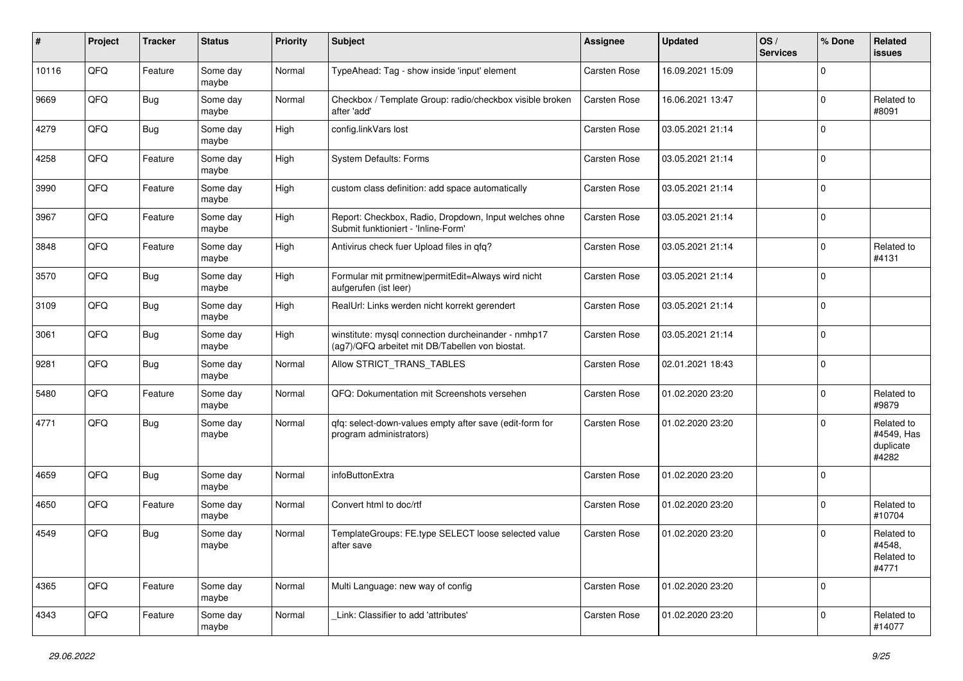| ∦     | Project | <b>Tracker</b> | <b>Status</b>     | <b>Priority</b> | <b>Subject</b>                                                                                         | <b>Assignee</b> | <b>Updated</b>   | OS/<br><b>Services</b> | % Done      | Related<br><b>issues</b>                       |
|-------|---------|----------------|-------------------|-----------------|--------------------------------------------------------------------------------------------------------|-----------------|------------------|------------------------|-------------|------------------------------------------------|
| 10116 | QFQ     | Feature        | Some day<br>maybe | Normal          | TypeAhead: Tag - show inside 'input' element                                                           | Carsten Rose    | 16.09.2021 15:09 |                        | $\Omega$    |                                                |
| 9669  | QFQ     | Bug            | Some day<br>maybe | Normal          | Checkbox / Template Group: radio/checkbox visible broken<br>after 'add'                                | Carsten Rose    | 16.06.2021 13:47 |                        | $\Omega$    | Related to<br>#8091                            |
| 4279  | QFQ     | Bug            | Some dav<br>maybe | High            | config.linkVars lost                                                                                   | Carsten Rose    | 03.05.2021 21:14 |                        | $\Omega$    |                                                |
| 4258  | QFQ     | Feature        | Some day<br>maybe | High            | <b>System Defaults: Forms</b>                                                                          | Carsten Rose    | 03.05.2021 21:14 |                        | $\Omega$    |                                                |
| 3990  | QFQ     | Feature        | Some day<br>maybe | High            | custom class definition: add space automatically                                                       | Carsten Rose    | 03.05.2021 21:14 |                        | $\mathbf 0$ |                                                |
| 3967  | QFQ     | Feature        | Some day<br>maybe | High            | Report: Checkbox, Radio, Dropdown, Input welches ohne<br>Submit funktioniert - 'Inline-Form'           | Carsten Rose    | 03.05.2021 21:14 |                        | $\Omega$    |                                                |
| 3848  | QFQ     | Feature        | Some day<br>maybe | High            | Antivirus check fuer Upload files in qfq?                                                              | Carsten Rose    | 03.05.2021 21:14 |                        | $\Omega$    | Related to<br>#4131                            |
| 3570  | QFQ     | Bug            | Some day<br>maybe | High            | Formular mit prmitnew permitEdit=Always wird nicht<br>aufgerufen (ist leer)                            | Carsten Rose    | 03.05.2021 21:14 |                        | $\mathbf 0$ |                                                |
| 3109  | QFQ     | Bug            | Some day<br>maybe | High            | RealUrl: Links werden nicht korrekt gerendert                                                          | Carsten Rose    | 03.05.2021 21:14 |                        | $\mathbf 0$ |                                                |
| 3061  | QFQ     | <b>Bug</b>     | Some day<br>maybe | High            | winstitute: mysql connection durcheinander - nmhp17<br>(ag7)/QFQ arbeitet mit DB/Tabellen von biostat. | Carsten Rose    | 03.05.2021 21:14 |                        | $\Omega$    |                                                |
| 9281  | QFQ     | Bug            | Some day<br>maybe | Normal          | Allow STRICT_TRANS_TABLES                                                                              | Carsten Rose    | 02.01.2021 18:43 |                        | $\Omega$    |                                                |
| 5480  | QFQ     | Feature        | Some day<br>maybe | Normal          | QFQ: Dokumentation mit Screenshots versehen                                                            | Carsten Rose    | 01.02.2020 23:20 |                        | $\Omega$    | Related to<br>#9879                            |
| 4771  | QFQ     | Bug            | Some day<br>maybe | Normal          | qfq: select-down-values empty after save (edit-form for<br>program administrators)                     | Carsten Rose    | 01.02.2020 23:20 |                        | $\Omega$    | Related to<br>#4549, Has<br>duplicate<br>#4282 |
| 4659  | QFQ     | Bug            | Some day<br>maybe | Normal          | infoButtonExtra                                                                                        | Carsten Rose    | 01.02.2020 23:20 |                        | $\Omega$    |                                                |
| 4650  | QFQ     | Feature        | Some day<br>maybe | Normal          | Convert html to doc/rtf                                                                                | Carsten Rose    | 01.02.2020 23:20 |                        | $\Omega$    | Related to<br>#10704                           |
| 4549  | QFQ     | Bug            | Some day<br>maybe | Normal          | TemplateGroups: FE.type SELECT loose selected value<br>after save                                      | Carsten Rose    | 01.02.2020 23:20 |                        | O           | Related to<br>#4548,<br>Related to<br>#4771    |
| 4365  | QFQ     | Feature        | Some day<br>maybe | Normal          | Multi Language: new way of config                                                                      | Carsten Rose    | 01.02.2020 23:20 |                        | 0           |                                                |
| 4343  | QFQ     | Feature        | Some day<br>maybe | Normal          | Link: Classifier to add 'attributes'                                                                   | Carsten Rose    | 01.02.2020 23:20 |                        | $\Omega$    | Related to<br>#14077                           |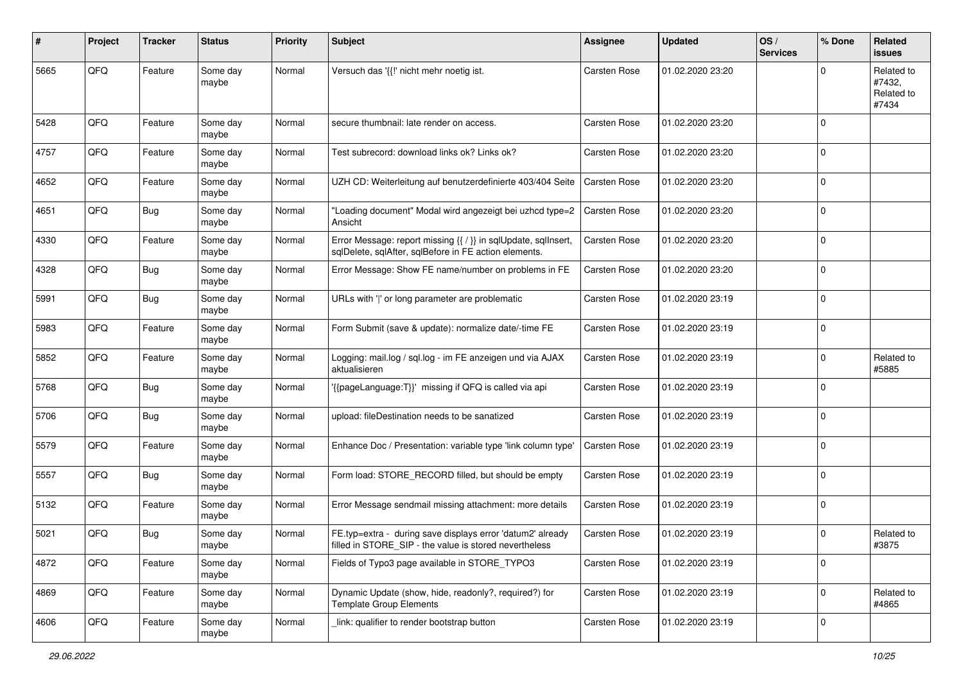| #    | Project | <b>Tracker</b> | <b>Status</b>     | <b>Priority</b> | <b>Subject</b>                                                                                                          | <b>Assignee</b>     | <b>Updated</b>   | OS/<br><b>Services</b> | % Done       | Related<br>issues                           |
|------|---------|----------------|-------------------|-----------------|-------------------------------------------------------------------------------------------------------------------------|---------------------|------------------|------------------------|--------------|---------------------------------------------|
| 5665 | QFQ     | Feature        | Some day<br>maybe | Normal          | Versuch das '{{!' nicht mehr noetig ist.                                                                                | Carsten Rose        | 01.02.2020 23:20 |                        | <sup>0</sup> | Related to<br>#7432,<br>Related to<br>#7434 |
| 5428 | QFQ     | Feature        | Some day<br>maybe | Normal          | secure thumbnail: late render on access.                                                                                | <b>Carsten Rose</b> | 01.02.2020 23:20 |                        | $\Omega$     |                                             |
| 4757 | QFQ     | Feature        | Some day<br>maybe | Normal          | Test subrecord: download links ok? Links ok?                                                                            | Carsten Rose        | 01.02.2020 23:20 |                        | 0            |                                             |
| 4652 | QFQ     | Feature        | Some day<br>maybe | Normal          | UZH CD: Weiterleitung auf benutzerdefinierte 403/404 Seite                                                              | Carsten Rose        | 01.02.2020 23:20 |                        | $\Omega$     |                                             |
| 4651 | QFQ     | Bug            | Some day<br>maybe | Normal          | 'Loading document" Modal wird angezeigt bei uzhcd type=2<br>Ansicht                                                     | Carsten Rose        | 01.02.2020 23:20 |                        | $\Omega$     |                                             |
| 4330 | QFQ     | Feature        | Some day<br>maybe | Normal          | Error Message: report missing {{ / }} in sqlUpdate, sqlInsert,<br>sqlDelete, sqlAfter, sqlBefore in FE action elements. | <b>Carsten Rose</b> | 01.02.2020 23:20 |                        | $\Omega$     |                                             |
| 4328 | QFQ     | <b>Bug</b>     | Some day<br>maybe | Normal          | Error Message: Show FE name/number on problems in FE                                                                    | <b>Carsten Rose</b> | 01.02.2020 23:20 |                        | $\Omega$     |                                             |
| 5991 | QFQ     | Bug            | Some day<br>maybe | Normal          | URLs with ' ' or long parameter are problematic                                                                         | Carsten Rose        | 01.02.2020 23:19 |                        | $\Omega$     |                                             |
| 5983 | QFQ     | Feature        | Some day<br>maybe | Normal          | Form Submit (save & update): normalize date/-time FE                                                                    | <b>Carsten Rose</b> | 01.02.2020 23:19 |                        | $\Omega$     |                                             |
| 5852 | QFQ     | Feature        | Some day<br>maybe | Normal          | Logging: mail.log / sql.log - im FE anzeigen und via AJAX<br>aktualisieren                                              | <b>Carsten Rose</b> | 01.02.2020 23:19 |                        | 0            | Related to<br>#5885                         |
| 5768 | QFQ     | Bug            | Some day<br>maybe | Normal          | {{pageLanguage:T}}' missing if QFQ is called via api                                                                    | <b>Carsten Rose</b> | 01.02.2020 23:19 |                        | $\Omega$     |                                             |
| 5706 | QFQ     | Bug            | Some day<br>maybe | Normal          | upload: fileDestination needs to be sanatized                                                                           | <b>Carsten Rose</b> | 01.02.2020 23:19 |                        | $\Omega$     |                                             |
| 5579 | QFQ     | Feature        | Some day<br>maybe | Normal          | Enhance Doc / Presentation: variable type 'link column type'                                                            | <b>Carsten Rose</b> | 01.02.2020 23:19 |                        | $\Omega$     |                                             |
| 5557 | QFQ     | <b>Bug</b>     | Some day<br>maybe | Normal          | Form load: STORE_RECORD filled, but should be empty                                                                     | <b>Carsten Rose</b> | 01.02.2020 23:19 |                        | $\Omega$     |                                             |
| 5132 | QFQ     | Feature        | Some day<br>maybe | Normal          | Error Message sendmail missing attachment: more details                                                                 | Carsten Rose        | 01.02.2020 23:19 |                        | 0            |                                             |
| 5021 | QFQ     | Bug            | Some day<br>maybe | Normal          | FE.typ=extra - during save displays error 'datum2' already<br>filled in STORE_SIP - the value is stored nevertheless    | <b>Carsten Rose</b> | 01.02.2020 23:19 |                        | 0            | Related to<br>#3875                         |
| 4872 | QFQ     | Feature        | Some day<br>maybe | Normal          | Fields of Typo3 page available in STORE TYPO3                                                                           | Carsten Rose        | 01.02.2020 23:19 |                        | 0            |                                             |
| 4869 | QFQ     | Feature        | Some day<br>maybe | Normal          | Dynamic Update (show, hide, readonly?, required?) for<br><b>Template Group Elements</b>                                 | Carsten Rose        | 01.02.2020 23:19 |                        | 0            | Related to<br>#4865                         |
| 4606 | QFG     | Feature        | Some day<br>maybe | Normal          | link: qualifier to render bootstrap button                                                                              | Carsten Rose        | 01.02.2020 23:19 |                        | 0            |                                             |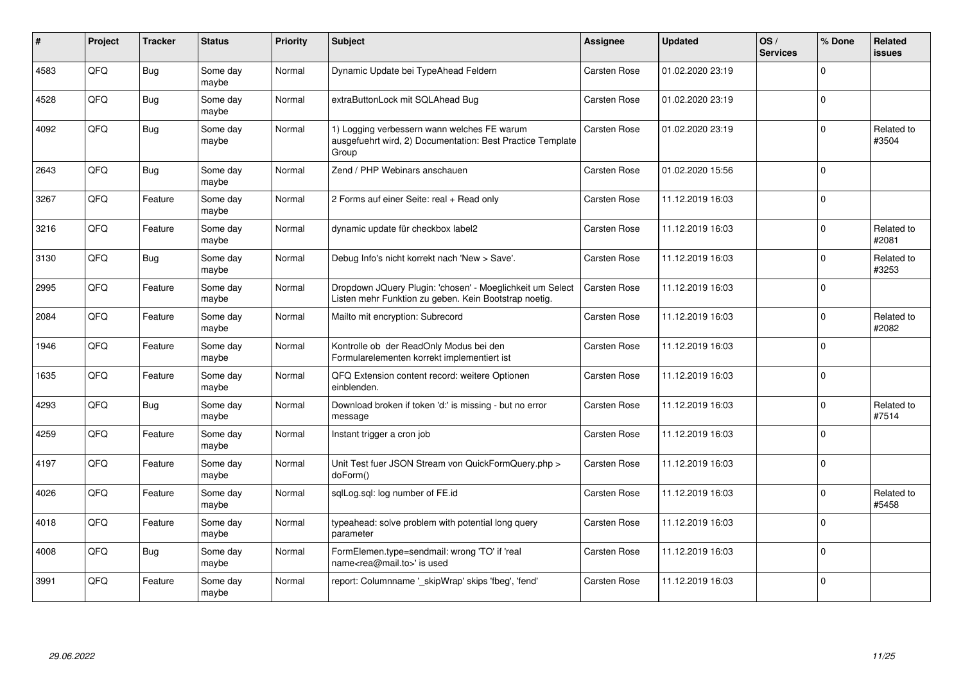| ∦    | Project | <b>Tracker</b> | <b>Status</b>     | <b>Priority</b> | <b>Subject</b>                                                                                                     | Assignee            | <b>Updated</b>   | OS/<br><b>Services</b> | % Done   | Related<br>issues   |
|------|---------|----------------|-------------------|-----------------|--------------------------------------------------------------------------------------------------------------------|---------------------|------------------|------------------------|----------|---------------------|
| 4583 | QFQ     | Bug            | Some day<br>maybe | Normal          | Dynamic Update bei TypeAhead Feldern                                                                               | <b>Carsten Rose</b> | 01.02.2020 23:19 |                        | $\Omega$ |                     |
| 4528 | QFQ     | Bug            | Some day<br>maybe | Normal          | extraButtonLock mit SQLAhead Bug                                                                                   | Carsten Rose        | 01.02.2020 23:19 |                        | $\Omega$ |                     |
| 4092 | QFQ     | Bug            | Some day<br>maybe | Normal          | 1) Logging verbessern wann welches FE warum<br>ausgefuehrt wird, 2) Documentation: Best Practice Template<br>Group | Carsten Rose        | 01.02.2020 23:19 |                        | $\Omega$ | Related to<br>#3504 |
| 2643 | QFQ     | <b>Bug</b>     | Some day<br>maybe | Normal          | Zend / PHP Webinars anschauen                                                                                      | Carsten Rose        | 01.02.2020 15:56 |                        | $\Omega$ |                     |
| 3267 | QFQ     | Feature        | Some day<br>maybe | Normal          | 2 Forms auf einer Seite: real + Read only                                                                          | <b>Carsten Rose</b> | 11.12.2019 16:03 |                        | $\Omega$ |                     |
| 3216 | QFQ     | Feature        | Some day<br>maybe | Normal          | dynamic update für checkbox label2                                                                                 | Carsten Rose        | 11.12.2019 16:03 |                        | $\Omega$ | Related to<br>#2081 |
| 3130 | QFQ     | Bug            | Some day<br>maybe | Normal          | Debug Info's nicht korrekt nach 'New > Save'.                                                                      | Carsten Rose        | 11.12.2019 16:03 |                        | 0        | Related to<br>#3253 |
| 2995 | QFQ     | Feature        | Some day<br>maybe | Normal          | Dropdown JQuery Plugin: 'chosen' - Moeglichkeit um Select<br>Listen mehr Funktion zu geben. Kein Bootstrap noetig. | <b>Carsten Rose</b> | 11.12.2019 16:03 |                        | $\Omega$ |                     |
| 2084 | QFQ     | Feature        | Some day<br>maybe | Normal          | Mailto mit encryption: Subrecord                                                                                   | Carsten Rose        | 11.12.2019 16:03 |                        | $\Omega$ | Related to<br>#2082 |
| 1946 | QFQ     | Feature        | Some day<br>maybe | Normal          | Kontrolle ob der ReadOnly Modus bei den<br>Formularelementen korrekt implementiert ist                             | Carsten Rose        | 11.12.2019 16:03 |                        | $\Omega$ |                     |
| 1635 | QFQ     | Feature        | Some day<br>maybe | Normal          | QFQ Extension content record: weitere Optionen<br>einblenden.                                                      | Carsten Rose        | 11.12.2019 16:03 |                        | $\Omega$ |                     |
| 4293 | QFQ     | Bug            | Some day<br>maybe | Normal          | Download broken if token 'd:' is missing - but no error<br>message                                                 | Carsten Rose        | 11.12.2019 16:03 |                        | $\Omega$ | Related to<br>#7514 |
| 4259 | QFQ     | Feature        | Some day<br>maybe | Normal          | Instant trigger a cron job                                                                                         | Carsten Rose        | 11.12.2019 16:03 |                        | $\Omega$ |                     |
| 4197 | QFQ     | Feature        | Some day<br>maybe | Normal          | Unit Test fuer JSON Stream von QuickFormQuery.php ><br>doForm()                                                    | Carsten Rose        | 11.12.2019 16:03 |                        | $\Omega$ |                     |
| 4026 | QFQ     | Feature        | Some day<br>maybe | Normal          | sglLog.sgl: log number of FE.id                                                                                    | Carsten Rose        | 11.12.2019 16:03 |                        | $\Omega$ | Related to<br>#5458 |
| 4018 | QFQ     | Feature        | Some day<br>maybe | Normal          | typeahead: solve problem with potential long query<br>parameter                                                    | Carsten Rose        | 11.12.2019 16:03 |                        | $\Omega$ |                     |
| 4008 | QFQ     | Bug            | Some day<br>maybe | Normal          | FormElemen.type=sendmail: wrong 'TO' if 'real<br>name <rea@mail.to>' is used</rea@mail.to>                         | Carsten Rose        | 11.12.2019 16:03 |                        | $\Omega$ |                     |
| 3991 | QFQ     | Feature        | Some day<br>maybe | Normal          | report: Columnname '_skipWrap' skips 'fbeg', 'fend'                                                                | <b>Carsten Rose</b> | 11.12.2019 16:03 |                        | $\Omega$ |                     |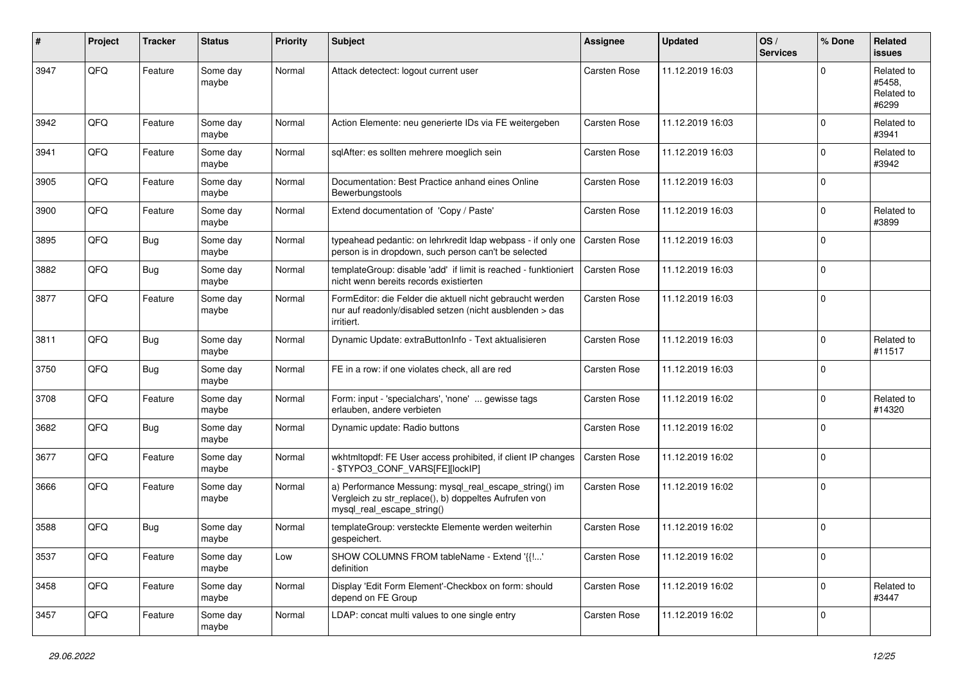| #    | Project | <b>Tracker</b> | <b>Status</b>     | <b>Priority</b> | <b>Subject</b>                                                                                                                               | Assignee     | <b>Updated</b>   | OS/<br><b>Services</b> | % Done      | Related<br><b>issues</b>                    |
|------|---------|----------------|-------------------|-----------------|----------------------------------------------------------------------------------------------------------------------------------------------|--------------|------------------|------------------------|-------------|---------------------------------------------|
| 3947 | QFQ     | Feature        | Some day<br>maybe | Normal          | Attack detectect: logout current user                                                                                                        | Carsten Rose | 11.12.2019 16:03 |                        | O           | Related to<br>#5458,<br>Related to<br>#6299 |
| 3942 | QFQ     | Feature        | Some day<br>maybe | Normal          | Action Elemente: neu generierte IDs via FE weitergeben                                                                                       | Carsten Rose | 11.12.2019 16:03 |                        | $\Omega$    | Related to<br>#3941                         |
| 3941 | QFQ     | Feature        | Some day<br>maybe | Normal          | sglAfter: es sollten mehrere moeglich sein                                                                                                   | Carsten Rose | 11.12.2019 16:03 |                        | $\Omega$    | Related to<br>#3942                         |
| 3905 | QFQ     | Feature        | Some day<br>maybe | Normal          | Documentation: Best Practice anhand eines Online<br>Bewerbungstools                                                                          | Carsten Rose | 11.12.2019 16:03 |                        | $\mathbf 0$ |                                             |
| 3900 | QFQ     | Feature        | Some day<br>maybe | Normal          | Extend documentation of 'Copy / Paste'                                                                                                       | Carsten Rose | 11.12.2019 16:03 |                        | 0           | Related to<br>#3899                         |
| 3895 | QFQ     | Bug            | Some day<br>maybe | Normal          | typeahead pedantic: on lehrkredit Idap webpass - if only one<br>person is in dropdown, such person can't be selected                         | Carsten Rose | 11.12.2019 16:03 |                        | $\Omega$    |                                             |
| 3882 | QFQ     | Bug            | Some day<br>maybe | Normal          | templateGroup: disable 'add' if limit is reached - funktioniert<br>nicht wenn bereits records existierten                                    | Carsten Rose | 11.12.2019 16:03 |                        | $\Omega$    |                                             |
| 3877 | QFQ     | Feature        | Some day<br>maybe | Normal          | FormEditor: die Felder die aktuell nicht gebraucht werden<br>nur auf readonly/disabled setzen (nicht ausblenden > das<br>irritiert.          | Carsten Rose | 11.12.2019 16:03 |                        | $\mathbf 0$ |                                             |
| 3811 | QFQ     | Bug            | Some day<br>maybe | Normal          | Dynamic Update: extraButtonInfo - Text aktualisieren                                                                                         | Carsten Rose | 11.12.2019 16:03 |                        | $\Omega$    | Related to<br>#11517                        |
| 3750 | QFQ     | Bug            | Some day<br>maybe | Normal          | FE in a row: if one violates check, all are red                                                                                              | Carsten Rose | 11.12.2019 16:03 |                        | $\Omega$    |                                             |
| 3708 | QFQ     | Feature        | Some day<br>maybe | Normal          | Form: input - 'specialchars', 'none'  gewisse tags<br>erlauben, andere verbieten                                                             | Carsten Rose | 11.12.2019 16:02 |                        | $\Omega$    | Related to<br>#14320                        |
| 3682 | QFQ     | <b>Bug</b>     | Some day<br>maybe | Normal          | Dynamic update: Radio buttons                                                                                                                | Carsten Rose | 11.12.2019 16:02 |                        | $\mathbf 0$ |                                             |
| 3677 | QFQ     | Feature        | Some day<br>maybe | Normal          | wkhtmltopdf: FE User access prohibited, if client IP changes<br>\$TYPO3_CONF_VARS[FE][lockIP]                                                | Carsten Rose | 11.12.2019 16:02 |                        | $\mathbf 0$ |                                             |
| 3666 | QFQ     | Feature        | Some day<br>maybe | Normal          | a) Performance Messung: mysql_real_escape_string() im<br>Vergleich zu str_replace(), b) doppeltes Aufrufen von<br>mysql_real_escape_string() | Carsten Rose | 11.12.2019 16:02 |                        | $\Omega$    |                                             |
| 3588 | QFQ     | Bug            | Some day<br>maybe | Normal          | templateGroup: versteckte Elemente werden weiterhin<br>gespeichert.                                                                          | Carsten Rose | 11.12.2019 16:02 |                        | $\Omega$    |                                             |
| 3537 | QFQ     | Feature        | Some day<br>maybe | Low             | SHOW COLUMNS FROM tableName - Extend '{{!'<br>definition                                                                                     | Carsten Rose | 11.12.2019 16:02 |                        | $\mathbf 0$ |                                             |
| 3458 | QFQ     | Feature        | Some day<br>maybe | Normal          | Display 'Edit Form Element'-Checkbox on form: should<br>depend on FE Group                                                                   | Carsten Rose | 11.12.2019 16:02 |                        | $\mathbf 0$ | Related to<br>#3447                         |
| 3457 | QFQ     | Feature        | Some day<br>maybe | Normal          | LDAP: concat multi values to one single entry                                                                                                | Carsten Rose | 11.12.2019 16:02 |                        | $\mathbf 0$ |                                             |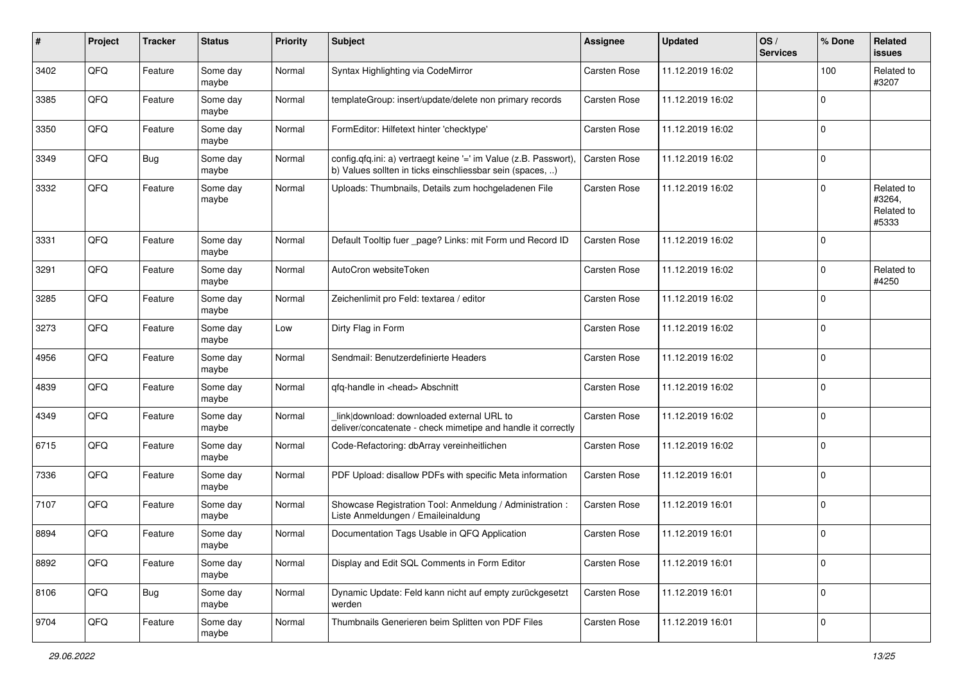| #    | Project | <b>Tracker</b> | <b>Status</b>     | <b>Priority</b> | <b>Subject</b>                                                                                                                | <b>Assignee</b>     | <b>Updated</b>   | OS/<br><b>Services</b> | % Done      | Related<br>issues                           |
|------|---------|----------------|-------------------|-----------------|-------------------------------------------------------------------------------------------------------------------------------|---------------------|------------------|------------------------|-------------|---------------------------------------------|
| 3402 | QFQ     | Feature        | Some day<br>maybe | Normal          | Syntax Highlighting via CodeMirror                                                                                            | Carsten Rose        | 11.12.2019 16:02 |                        | 100         | Related to<br>#3207                         |
| 3385 | QFQ     | Feature        | Some day<br>maybe | Normal          | templateGroup: insert/update/delete non primary records                                                                       | Carsten Rose        | 11.12.2019 16:02 |                        | $\Omega$    |                                             |
| 3350 | QFQ     | Feature        | Some day<br>maybe | Normal          | FormEditor: Hilfetext hinter 'checktype'                                                                                      | <b>Carsten Rose</b> | 11.12.2019 16:02 |                        | $\Omega$    |                                             |
| 3349 | QFQ     | Bug            | Some day<br>maybe | Normal          | config.qfq.ini: a) vertraegt keine '=' im Value (z.B. Passwort),<br>b) Values sollten in ticks einschliessbar sein (spaces, ) | <b>Carsten Rose</b> | 11.12.2019 16:02 |                        | 0           |                                             |
| 3332 | QFQ     | Feature        | Some day<br>maybe | Normal          | Uploads: Thumbnails, Details zum hochgeladenen File                                                                           | <b>Carsten Rose</b> | 11.12.2019 16:02 |                        | $\Omega$    | Related to<br>#3264,<br>Related to<br>#5333 |
| 3331 | QFQ     | Feature        | Some day<br>maybe | Normal          | Default Tooltip fuer _page? Links: mit Form und Record ID                                                                     | Carsten Rose        | 11.12.2019 16:02 |                        | 0           |                                             |
| 3291 | QFQ     | Feature        | Some day<br>maybe | Normal          | AutoCron websiteToken                                                                                                         | <b>Carsten Rose</b> | 11.12.2019 16:02 |                        | 0           | Related to<br>#4250                         |
| 3285 | QFQ     | Feature        | Some day<br>maybe | Normal          | Zeichenlimit pro Feld: textarea / editor                                                                                      | Carsten Rose        | 11.12.2019 16:02 |                        | $\mathbf 0$ |                                             |
| 3273 | QFQ     | Feature        | Some day<br>maybe | Low             | Dirty Flag in Form                                                                                                            | <b>Carsten Rose</b> | 11.12.2019 16:02 |                        | $\Omega$    |                                             |
| 4956 | QFQ     | Feature        | Some day<br>maybe | Normal          | Sendmail: Benutzerdefinierte Headers                                                                                          | Carsten Rose        | 11.12.2019 16:02 |                        | $\mathbf 0$ |                                             |
| 4839 | QFQ     | Feature        | Some day<br>maybe | Normal          | qfq-handle in <head> Abschnitt</head>                                                                                         | Carsten Rose        | 11.12.2019 16:02 |                        | $\mathbf 0$ |                                             |
| 4349 | QFQ     | Feature        | Some day<br>maybe | Normal          | link download: downloaded external URL to<br>deliver/concatenate - check mimetipe and handle it correctly                     | Carsten Rose        | 11.12.2019 16:02 |                        | $\Omega$    |                                             |
| 6715 | QFQ     | Feature        | Some day<br>maybe | Normal          | Code-Refactoring: dbArray vereinheitlichen                                                                                    | Carsten Rose        | 11.12.2019 16:02 |                        | $\Omega$    |                                             |
| 7336 | QFQ     | Feature        | Some day<br>maybe | Normal          | PDF Upload: disallow PDFs with specific Meta information                                                                      | Carsten Rose        | 11.12.2019 16:01 |                        | $\Omega$    |                                             |
| 7107 | QFQ     | Feature        | Some day<br>maybe | Normal          | Showcase Registration Tool: Anmeldung / Administration :<br>Liste Anmeldungen / Emaileinaldung                                | Carsten Rose        | 11.12.2019 16:01 |                        | 0           |                                             |
| 8894 | QFQ     | Feature        | Some day<br>maybe | Normal          | Documentation Tags Usable in QFQ Application                                                                                  | <b>Carsten Rose</b> | 11.12.2019 16:01 |                        | $\Omega$    |                                             |
| 8892 | QFQ     | Feature        | Some day<br>maybe | Normal          | Display and Edit SQL Comments in Form Editor                                                                                  | Carsten Rose        | 11.12.2019 16:01 |                        | $\mathbf 0$ |                                             |
| 8106 | QFQ     | Bug            | Some day<br>maybe | Normal          | Dynamic Update: Feld kann nicht auf empty zurückgesetzt<br>werden                                                             | Carsten Rose        | 11.12.2019 16:01 |                        | 0           |                                             |
| 9704 | QFQ     | Feature        | Some day<br>maybe | Normal          | Thumbnails Generieren beim Splitten von PDF Files                                                                             | Carsten Rose        | 11.12.2019 16:01 |                        | 0           |                                             |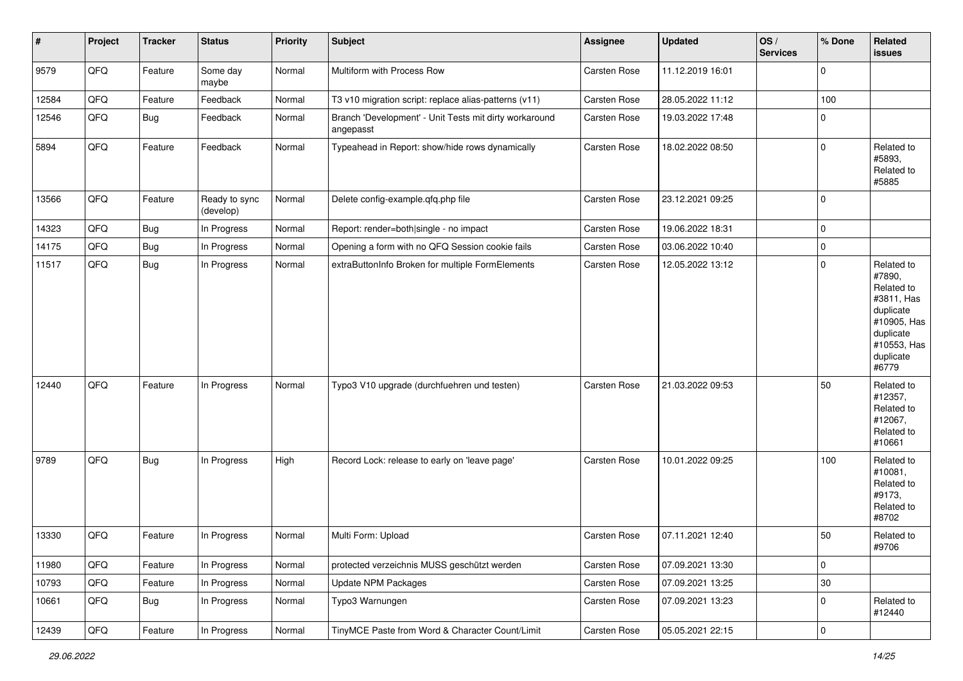| #     | Project | <b>Tracker</b> | <b>Status</b>              | <b>Priority</b> | <b>Subject</b>                                                      | <b>Assignee</b> | <b>Updated</b>   | OS/<br><b>Services</b> | % Done      | Related<br>issues                                                                                                              |
|-------|---------|----------------|----------------------------|-----------------|---------------------------------------------------------------------|-----------------|------------------|------------------------|-------------|--------------------------------------------------------------------------------------------------------------------------------|
| 9579  | QFQ     | Feature        | Some day<br>maybe          | Normal          | Multiform with Process Row                                          | Carsten Rose    | 11.12.2019 16:01 |                        | 0           |                                                                                                                                |
| 12584 | QFQ     | Feature        | Feedback                   | Normal          | T3 v10 migration script: replace alias-patterns (v11)               | Carsten Rose    | 28.05.2022 11:12 |                        | 100         |                                                                                                                                |
| 12546 | QFQ     | <b>Bug</b>     | Feedback                   | Normal          | Branch 'Development' - Unit Tests mit dirty workaround<br>angepasst | Carsten Rose    | 19.03.2022 17:48 |                        | 0           |                                                                                                                                |
| 5894  | QFQ     | Feature        | Feedback                   | Normal          | Typeahead in Report: show/hide rows dynamically                     | Carsten Rose    | 18.02.2022 08:50 |                        | $\mathbf 0$ | Related to<br>#5893,<br>Related to<br>#5885                                                                                    |
| 13566 | QFQ     | Feature        | Ready to sync<br>(develop) | Normal          | Delete config-example.qfq.php file                                  | Carsten Rose    | 23.12.2021 09:25 |                        | 0           |                                                                                                                                |
| 14323 | QFQ     | Bug            | In Progress                | Normal          | Report: render=both single - no impact                              | Carsten Rose    | 19.06.2022 18:31 |                        | $\mathbf 0$ |                                                                                                                                |
| 14175 | QFQ     | Bug            | In Progress                | Normal          | Opening a form with no QFQ Session cookie fails                     | Carsten Rose    | 03.06.2022 10:40 |                        | $\mathbf 0$ |                                                                                                                                |
| 11517 | QFQ     | <b>Bug</b>     | In Progress                | Normal          | extraButtonInfo Broken for multiple FormElements                    | Carsten Rose    | 12.05.2022 13:12 |                        | $\mathbf 0$ | Related to<br>#7890,<br>Related to<br>#3811, Has<br>duplicate<br>#10905, Has<br>duplicate<br>#10553, Has<br>duplicate<br>#6779 |
| 12440 | QFQ     | Feature        | In Progress                | Normal          | Typo3 V10 upgrade (durchfuehren und testen)                         | Carsten Rose    | 21.03.2022 09:53 |                        | 50          | Related to<br>#12357,<br>Related to<br>#12067,<br>Related to<br>#10661                                                         |
| 9789  | QFQ     | Bug            | In Progress                | High            | Record Lock: release to early on 'leave page'                       | Carsten Rose    | 10.01.2022 09:25 |                        | 100         | Related to<br>#10081,<br>Related to<br>#9173,<br>Related to<br>#8702                                                           |
| 13330 | QFQ     | Feature        | In Progress                | Normal          | Multi Form: Upload                                                  | Carsten Rose    | 07.11.2021 12:40 |                        | 50          | Related to<br>#9706                                                                                                            |
| 11980 | QFG     | Feature        | In Progress                | Normal          | protected verzeichnis MUSS geschützt werden                         | Carsten Rose    | 07.09.2021 13:30 |                        | $\mathbf 0$ |                                                                                                                                |
| 10793 | QFQ     | Feature        | In Progress                | Normal          | Update NPM Packages                                                 | Carsten Rose    | 07.09.2021 13:25 |                        | $30\,$      |                                                                                                                                |
| 10661 | QFQ     | Bug            | In Progress                | Normal          | Typo3 Warnungen                                                     | Carsten Rose    | 07.09.2021 13:23 |                        | $\mathbf 0$ | Related to<br>#12440                                                                                                           |
| 12439 | QFG     | Feature        | In Progress                | Normal          | TinyMCE Paste from Word & Character Count/Limit                     | Carsten Rose    | 05.05.2021 22:15 |                        | $\pmb{0}$   |                                                                                                                                |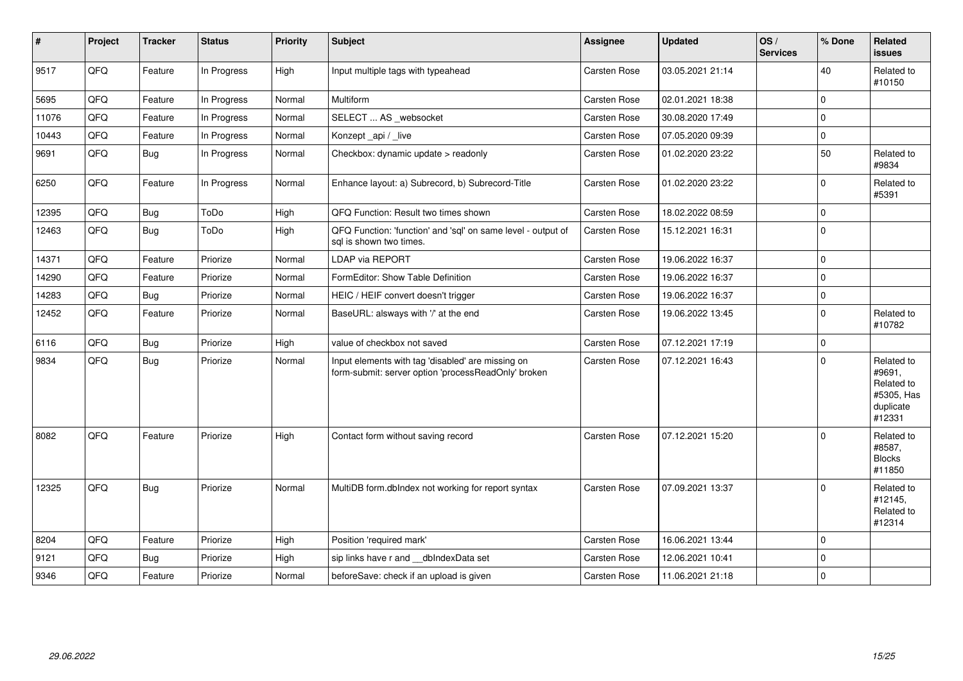| #     | Project | <b>Tracker</b> | <b>Status</b> | <b>Priority</b> | <b>Subject</b>                                                                                           | <b>Assignee</b>     | <b>Updated</b>   | OS/<br><b>Services</b> | % Done      | Related<br>issues                                                       |
|-------|---------|----------------|---------------|-----------------|----------------------------------------------------------------------------------------------------------|---------------------|------------------|------------------------|-------------|-------------------------------------------------------------------------|
| 9517  | QFQ     | Feature        | In Progress   | High            | Input multiple tags with typeahead                                                                       | Carsten Rose        | 03.05.2021 21:14 |                        | 40          | Related to<br>#10150                                                    |
| 5695  | QFQ     | Feature        | In Progress   | Normal          | <b>Multiform</b>                                                                                         | Carsten Rose        | 02.01.2021 18:38 |                        | $\Omega$    |                                                                         |
| 11076 | QFQ     | Feature        | In Progress   | Normal          | SELECT  AS _websocket                                                                                    | Carsten Rose        | 30.08.2020 17:49 |                        | $\Omega$    |                                                                         |
| 10443 | QFQ     | Feature        | In Progress   | Normal          | Konzept_api / _live                                                                                      | Carsten Rose        | 07.05.2020 09:39 |                        | $\Omega$    |                                                                         |
| 9691  | QFQ     | Bug            | In Progress   | Normal          | Checkbox: dynamic update > readonly                                                                      | Carsten Rose        | 01.02.2020 23:22 |                        | 50          | Related to<br>#9834                                                     |
| 6250  | QFQ     | Feature        | In Progress   | Normal          | Enhance layout: a) Subrecord, b) Subrecord-Title                                                         | Carsten Rose        | 01.02.2020 23:22 |                        | $\mathbf 0$ | Related to<br>#5391                                                     |
| 12395 | QFQ     | Bug            | ToDo          | High            | QFQ Function: Result two times shown                                                                     | Carsten Rose        | 18.02.2022 08:59 |                        | $\mathbf 0$ |                                                                         |
| 12463 | QFQ     | Bug            | ToDo          | High            | QFQ Function: 'function' and 'sql' on same level - output of<br>sal is shown two times.                  | <b>Carsten Rose</b> | 15.12.2021 16:31 |                        | $\Omega$    |                                                                         |
| 14371 | QFQ     | Feature        | Priorize      | Normal          | <b>LDAP via REPORT</b>                                                                                   | Carsten Rose        | 19.06.2022 16:37 |                        | $\Omega$    |                                                                         |
| 14290 | QFQ     | Feature        | Priorize      | Normal          | FormEditor: Show Table Definition                                                                        | Carsten Rose        | 19.06.2022 16:37 |                        | $\Omega$    |                                                                         |
| 14283 | QFQ     | Bug            | Priorize      | Normal          | HEIC / HEIF convert doesn't trigger                                                                      | Carsten Rose        | 19.06.2022 16:37 |                        | $\Omega$    |                                                                         |
| 12452 | QFQ     | Feature        | Priorize      | Normal          | BaseURL: alsways with '/' at the end                                                                     | Carsten Rose        | 19.06.2022 13:45 |                        | $\Omega$    | Related to<br>#10782                                                    |
| 6116  | QFQ     | Bug            | Priorize      | High            | value of checkbox not saved                                                                              | Carsten Rose        | 07.12.2021 17:19 |                        | $\mathbf 0$ |                                                                         |
| 9834  | QFQ     | Bug            | Priorize      | Normal          | Input elements with tag 'disabled' are missing on<br>form-submit: server option 'processReadOnly' broken | Carsten Rose        | 07.12.2021 16:43 |                        | $\Omega$    | Related to<br>#9691,<br>Related to<br>#5305, Has<br>duplicate<br>#12331 |
| 8082  | QFQ     | Feature        | Priorize      | High            | Contact form without saving record                                                                       | Carsten Rose        | 07.12.2021 15:20 |                        | $\Omega$    | Related to<br>#8587,<br><b>Blocks</b><br>#11850                         |
| 12325 | QFQ     | Bug            | Priorize      | Normal          | MultiDB form.dblndex not working for report syntax                                                       | Carsten Rose        | 07.09.2021 13:37 |                        | $\Omega$    | Related to<br>#12145,<br>Related to<br>#12314                           |
| 8204  | QFQ     | Feature        | Priorize      | High            | Position 'required mark'                                                                                 | Carsten Rose        | 16.06.2021 13:44 |                        | $\Omega$    |                                                                         |
| 9121  | QFQ     | Bug            | Priorize      | High            | sip links have r and __dbIndexData set                                                                   | Carsten Rose        | 12.06.2021 10:41 |                        | $\Omega$    |                                                                         |
| 9346  | QFQ     | Feature        | Priorize      | Normal          | beforeSave: check if an upload is given                                                                  | <b>Carsten Rose</b> | 11.06.2021 21:18 |                        | $\Omega$    |                                                                         |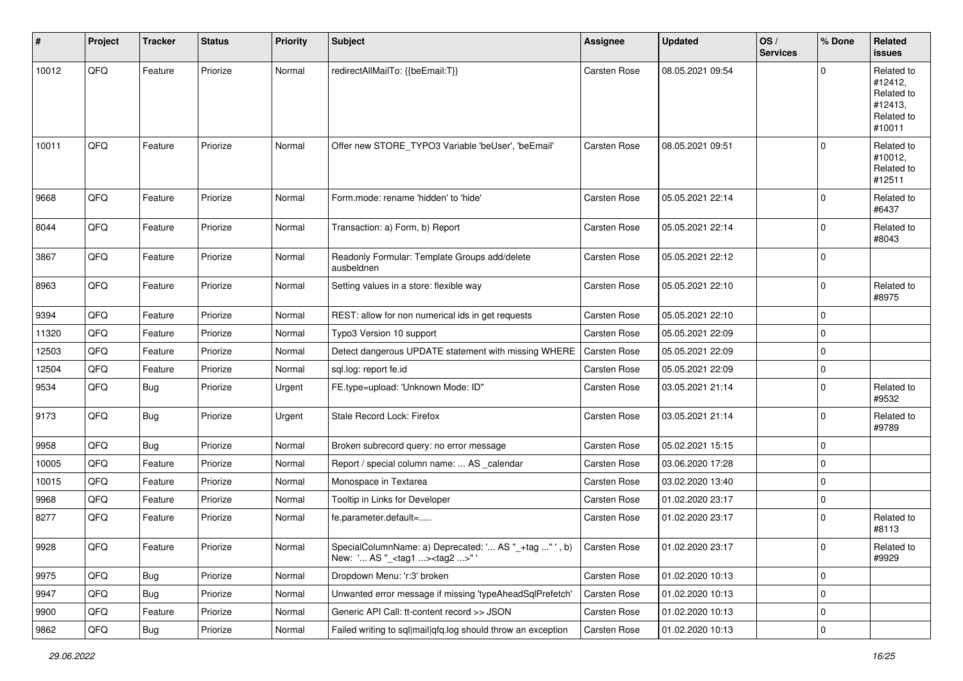| #     | Project | <b>Tracker</b> | <b>Status</b> | <b>Priority</b> | Subject                                                                                                          | <b>Assignee</b> | <b>Updated</b>   | OS/<br><b>Services</b> | % Done      | Related<br>issues                                                      |
|-------|---------|----------------|---------------|-----------------|------------------------------------------------------------------------------------------------------------------|-----------------|------------------|------------------------|-------------|------------------------------------------------------------------------|
| 10012 | QFQ     | Feature        | Priorize      | Normal          | redirectAllMailTo: {{beEmail:T}}                                                                                 | Carsten Rose    | 08.05.2021 09:54 |                        | $\Omega$    | Related to<br>#12412,<br>Related to<br>#12413,<br>Related to<br>#10011 |
| 10011 | QFQ     | Feature        | Priorize      | Normal          | Offer new STORE TYPO3 Variable 'beUser', 'beEmail'                                                               | Carsten Rose    | 08.05.2021 09:51 |                        | $\Omega$    | Related to<br>#10012,<br>Related to<br>#12511                          |
| 9668  | QFQ     | Feature        | Priorize      | Normal          | Form.mode: rename 'hidden' to 'hide'                                                                             | Carsten Rose    | 05.05.2021 22:14 |                        | $\Omega$    | Related to<br>#6437                                                    |
| 8044  | QFQ     | Feature        | Priorize      | Normal          | Transaction: a) Form, b) Report                                                                                  | Carsten Rose    | 05.05.2021 22:14 |                        | $\Omega$    | Related to<br>#8043                                                    |
| 3867  | QFQ     | Feature        | Priorize      | Normal          | Readonly Formular: Template Groups add/delete<br>ausbeldnen                                                      | Carsten Rose    | 05.05.2021 22:12 |                        | $\Omega$    |                                                                        |
| 8963  | QFQ     | Feature        | Priorize      | Normal          | Setting values in a store: flexible way                                                                          | Carsten Rose    | 05.05.2021 22:10 |                        | $\Omega$    | Related to<br>#8975                                                    |
| 9394  | QFQ     | Feature        | Priorize      | Normal          | REST: allow for non numerical ids in get requests                                                                | Carsten Rose    | 05.05.2021 22:10 |                        | $\Omega$    |                                                                        |
| 11320 | QFQ     | Feature        | Priorize      | Normal          | Typo3 Version 10 support                                                                                         | Carsten Rose    | 05.05.2021 22:09 |                        | $\Omega$    |                                                                        |
| 12503 | QFQ     | Feature        | Priorize      | Normal          | Detect dangerous UPDATE statement with missing WHERE                                                             | Carsten Rose    | 05.05.2021 22:09 |                        | $\Omega$    |                                                                        |
| 12504 | QFQ     | Feature        | Priorize      | Normal          | sql.log: report fe.id                                                                                            | Carsten Rose    | 05.05.2021 22:09 |                        | $\mathbf 0$ |                                                                        |
| 9534  | QFQ     | Bug            | Priorize      | Urgent          | FE.type=upload: 'Unknown Mode: ID"                                                                               | Carsten Rose    | 03.05.2021 21:14 |                        | 0           | Related to<br>#9532                                                    |
| 9173  | QFQ     | Bug            | Priorize      | Urgent          | Stale Record Lock: Firefox                                                                                       | Carsten Rose    | 03.05.2021 21:14 |                        | $\Omega$    | Related to<br>#9789                                                    |
| 9958  | QFQ     | Bug            | Priorize      | Normal          | Broken subrecord query: no error message                                                                         | Carsten Rose    | 05.02.2021 15:15 |                        | $\mathbf 0$ |                                                                        |
| 10005 | QFQ     | Feature        | Priorize      | Normal          | Report / special column name:  AS _calendar                                                                      | Carsten Rose    | 03.06.2020 17:28 |                        | $\Omega$    |                                                                        |
| 10015 | QFQ     | Feature        | Priorize      | Normal          | Monospace in Textarea                                                                                            | Carsten Rose    | 03.02.2020 13:40 |                        | $\mathbf 0$ |                                                                        |
| 9968  | QFQ     | Feature        | Priorize      | Normal          | Tooltip in Links for Developer                                                                                   | Carsten Rose    | 01.02.2020 23:17 |                        | $\mathbf 0$ |                                                                        |
| 8277  | QFQ     | Feature        | Priorize      | Normal          | fe.parameter.default=                                                                                            | Carsten Rose    | 01.02.2020 23:17 |                        | 0           | Related to<br>#8113                                                    |
| 9928  | QFQ     | Feature        | Priorize      | Normal          | SpecialColumnName: a) Deprecated: ' AS "_+tag " ', b) Carsten Rose<br>New: ' AS "_ <tag1><tag2>" '</tag2></tag1> |                 | 01.02.2020 23:17 |                        | O           | Related to<br>#9929                                                    |
| 9975  | QFQ     | Bug            | Priorize      | Normal          | Dropdown Menu: 'r:3' broken                                                                                      | Carsten Rose    | 01.02.2020 10:13 |                        | $\mathbf 0$ |                                                                        |
| 9947  | QFG     | <b>Bug</b>     | Priorize      | Normal          | Unwanted error message if missing 'typeAheadSqlPrefetch'                                                         | Carsten Rose    | 01.02.2020 10:13 |                        | 0           |                                                                        |
| 9900  | QFQ     | Feature        | Priorize      | Normal          | Generic API Call: tt-content record >> JSON                                                                      | Carsten Rose    | 01.02.2020 10:13 |                        | 0           |                                                                        |
| 9862  | QFQ     | Bug            | Priorize      | Normal          | Failed writing to sql mail qfq.log should throw an exception                                                     | Carsten Rose    | 01.02.2020 10:13 |                        | $\pmb{0}$   |                                                                        |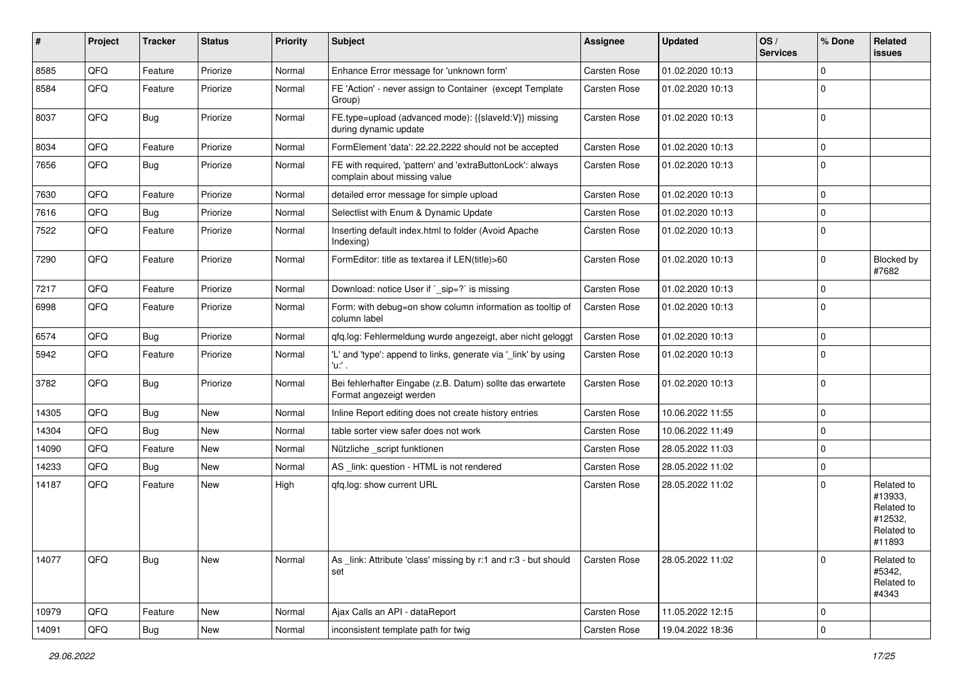| #     | Project | <b>Tracker</b> | <b>Status</b> | <b>Priority</b> | <b>Subject</b>                                                                            | <b>Assignee</b>     | <b>Updated</b>   | OS/<br><b>Services</b> | % Done      | Related<br>issues                                                      |
|-------|---------|----------------|---------------|-----------------|-------------------------------------------------------------------------------------------|---------------------|------------------|------------------------|-------------|------------------------------------------------------------------------|
| 8585  | QFQ     | Feature        | Priorize      | Normal          | Enhance Error message for 'unknown form'                                                  | <b>Carsten Rose</b> | 01.02.2020 10:13 |                        | $\mathbf 0$ |                                                                        |
| 8584  | QFQ     | Feature        | Priorize      | Normal          | FE 'Action' - never assign to Container (except Template<br>Group)                        | <b>Carsten Rose</b> | 01.02.2020 10:13 |                        | $\Omega$    |                                                                        |
| 8037  | QFQ     | Bug            | Priorize      | Normal          | FE.type=upload (advanced mode): {{slaveld:V}} missing<br>during dynamic update            | <b>Carsten Rose</b> | 01.02.2020 10:13 |                        | $\mathbf 0$ |                                                                        |
| 8034  | QFQ     | Feature        | Priorize      | Normal          | FormElement 'data': 22.22.2222 should not be accepted                                     | Carsten Rose        | 01.02.2020 10:13 |                        | $\mathbf 0$ |                                                                        |
| 7656  | QFQ     | Bug            | Priorize      | Normal          | FE with required, 'pattern' and 'extraButtonLock': always<br>complain about missing value | Carsten Rose        | 01.02.2020 10:13 |                        | $\mathbf 0$ |                                                                        |
| 7630  | QFQ     | Feature        | Priorize      | Normal          | detailed error message for simple upload                                                  | Carsten Rose        | 01.02.2020 10:13 |                        | $\mathbf 0$ |                                                                        |
| 7616  | QFQ     | Bug            | Priorize      | Normal          | Selectlist with Enum & Dynamic Update                                                     | <b>Carsten Rose</b> | 01.02.2020 10:13 |                        | 0           |                                                                        |
| 7522  | QFQ     | Feature        | Priorize      | Normal          | Inserting default index.html to folder (Avoid Apache<br>Indexing)                         | <b>Carsten Rose</b> | 01.02.2020 10:13 |                        | $\Omega$    |                                                                        |
| 7290  | QFQ     | Feature        | Priorize      | Normal          | FormEditor: title as textarea if LEN(title)>60                                            | Carsten Rose        | 01.02.2020 10:13 |                        | $\Omega$    | Blocked by<br>#7682                                                    |
| 7217  | QFQ     | Feature        | Priorize      | Normal          | Download: notice User if `_sip=?` is missing                                              | Carsten Rose        | 01.02.2020 10:13 |                        | $\Omega$    |                                                                        |
| 6998  | QFQ     | Feature        | Priorize      | Normal          | Form: with debug=on show column information as tooltip of<br>column label                 | <b>Carsten Rose</b> | 01.02.2020 10:13 |                        | $\Omega$    |                                                                        |
| 6574  | QFQ     | Bug            | Priorize      | Normal          | qfq.log: Fehlermeldung wurde angezeigt, aber nicht geloggt                                | <b>Carsten Rose</b> | 01.02.2020 10:13 |                        | $\mathbf 0$ |                                                                        |
| 5942  | QFQ     | Feature        | Priorize      | Normal          | 'L' and 'type': append to links, generate via '_link' by using<br>'u:' .                  | Carsten Rose        | 01.02.2020 10:13 |                        | $\Omega$    |                                                                        |
| 3782  | QFQ     | Bug            | Priorize      | Normal          | Bei fehlerhafter Eingabe (z.B. Datum) sollte das erwartete<br>Format angezeigt werden     | Carsten Rose        | 01.02.2020 10:13 |                        | 0           |                                                                        |
| 14305 | QFQ     | Bug            | <b>New</b>    | Normal          | Inline Report editing does not create history entries                                     | Carsten Rose        | 10.06.2022 11:55 |                        | $\mathbf 0$ |                                                                        |
| 14304 | QFQ     | Bug            | New           | Normal          | table sorter view safer does not work                                                     | <b>Carsten Rose</b> | 10.06.2022 11:49 |                        | $\mathbf 0$ |                                                                        |
| 14090 | QFQ     | Feature        | <b>New</b>    | Normal          | Nützliche _script funktionen                                                              | <b>Carsten Rose</b> | 28.05.2022 11:03 |                        | $\mathbf 0$ |                                                                        |
| 14233 | QFQ     | Bug            | New           | Normal          | AS _link: question - HTML is not rendered                                                 | <b>Carsten Rose</b> | 28.05.2022 11:02 |                        | $\mathbf 0$ |                                                                        |
| 14187 | QFQ     | Feature        | New           | High            | qfq.log: show current URL                                                                 | <b>Carsten Rose</b> | 28.05.2022 11:02 |                        | $\Omega$    | Related to<br>#13933,<br>Related to<br>#12532,<br>Related to<br>#11893 |
| 14077 | QFQ     | Bug            | New           | Normal          | As link: Attribute 'class' missing by r:1 and r:3 - but should<br>set                     | <b>Carsten Rose</b> | 28.05.2022 11:02 |                        | $\Omega$    | Related to<br>#5342,<br>Related to<br>#4343                            |
| 10979 | QFQ     | Feature        | New           | Normal          | Ajax Calls an API - dataReport                                                            | Carsten Rose        | 11.05.2022 12:15 |                        | 0           |                                                                        |
| 14091 | QFQ     | Bug            | New           | Normal          | inconsistent template path for twig                                                       | Carsten Rose        | 19.04.2022 18:36 |                        | 0           |                                                                        |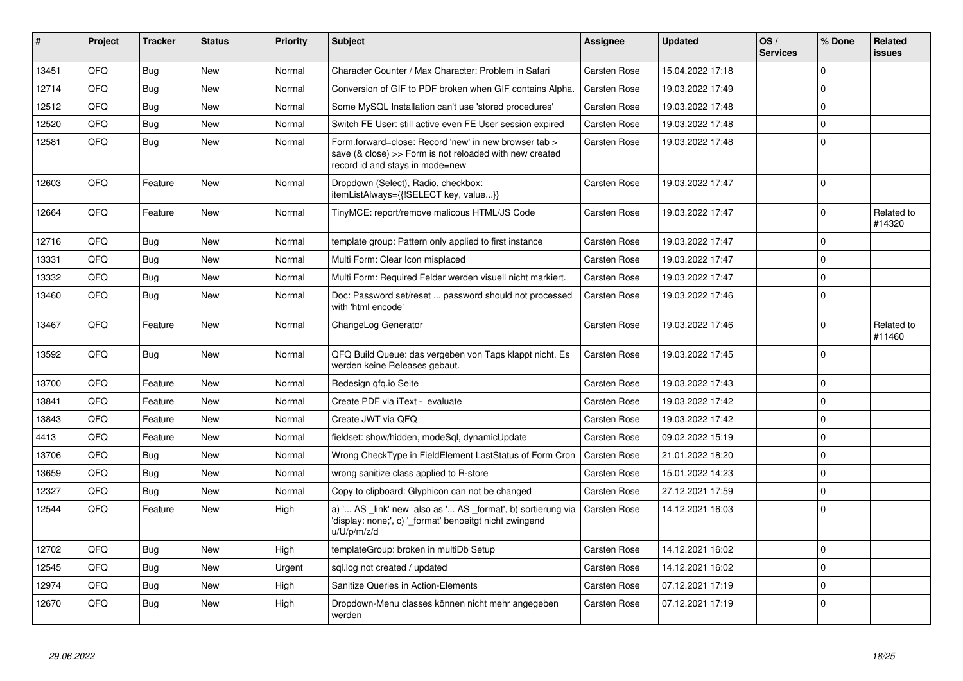| ∦     | <b>Project</b> | <b>Tracker</b> | <b>Status</b> | <b>Priority</b> | <b>Subject</b>                                                                                                                                      | <b>Assignee</b>     | <b>Updated</b>   | OS/<br><b>Services</b> | % Done      | Related<br><b>issues</b> |
|-------|----------------|----------------|---------------|-----------------|-----------------------------------------------------------------------------------------------------------------------------------------------------|---------------------|------------------|------------------------|-------------|--------------------------|
| 13451 | QFQ            | Bug            | <b>New</b>    | Normal          | Character Counter / Max Character: Problem in Safari                                                                                                | <b>Carsten Rose</b> | 15.04.2022 17:18 |                        | $\Omega$    |                          |
| 12714 | QFQ            | Bug            | New           | Normal          | Conversion of GIF to PDF broken when GIF contains Alpha.                                                                                            | Carsten Rose        | 19.03.2022 17:49 |                        | $\Omega$    |                          |
| 12512 | QFQ            | Bug            | <b>New</b>    | Normal          | Some MySQL Installation can't use 'stored procedures'                                                                                               | Carsten Rose        | 19.03.2022 17:48 |                        | $\mathbf 0$ |                          |
| 12520 | QFQ            | Bug            | <b>New</b>    | Normal          | Switch FE User: still active even FE User session expired                                                                                           | Carsten Rose        | 19.03.2022 17:48 |                        | $\Omega$    |                          |
| 12581 | QFQ            | Bug            | New           | Normal          | Form.forward=close: Record 'new' in new browser tab ><br>save (& close) >> Form is not reloaded with new created<br>record id and stays in mode=new | <b>Carsten Rose</b> | 19.03.2022 17:48 |                        | $\Omega$    |                          |
| 12603 | QFQ            | Feature        | <b>New</b>    | Normal          | Dropdown (Select), Radio, checkbox:<br>itemListAlways={{!SELECT key, value}}                                                                        | <b>Carsten Rose</b> | 19.03.2022 17:47 |                        | $\Omega$    |                          |
| 12664 | QFQ            | Feature        | <b>New</b>    | Normal          | TinyMCE: report/remove malicous HTML/JS Code                                                                                                        | <b>Carsten Rose</b> | 19.03.2022 17:47 |                        | $\Omega$    | Related to<br>#14320     |
| 12716 | QFQ            | <b>Bug</b>     | <b>New</b>    | Normal          | template group: Pattern only applied to first instance                                                                                              | <b>Carsten Rose</b> | 19.03.2022 17:47 |                        | $\Omega$    |                          |
| 13331 | QFQ            | Bug            | <b>New</b>    | Normal          | Multi Form: Clear Icon misplaced                                                                                                                    | <b>Carsten Rose</b> | 19.03.2022 17:47 |                        | $\Omega$    |                          |
| 13332 | QFQ            | Bug            | <b>New</b>    | Normal          | Multi Form: Required Felder werden visuell nicht markiert.                                                                                          | <b>Carsten Rose</b> | 19.03.2022 17:47 |                        | $\mathbf 0$ |                          |
| 13460 | QFQ            | <b>Bug</b>     | <b>New</b>    | Normal          | Doc: Password set/reset  password should not processed<br>with 'html encode'                                                                        | <b>Carsten Rose</b> | 19.03.2022 17:46 |                        | 0           |                          |
| 13467 | QFQ            | Feature        | <b>New</b>    | Normal          | ChangeLog Generator                                                                                                                                 | <b>Carsten Rose</b> | 19.03.2022 17:46 |                        | $\Omega$    | Related to<br>#11460     |
| 13592 | QFQ            | Bug            | <b>New</b>    | Normal          | QFQ Build Queue: das vergeben von Tags klappt nicht. Es<br>werden keine Releases gebaut.                                                            | <b>Carsten Rose</b> | 19.03.2022 17:45 |                        | $\Omega$    |                          |
| 13700 | QFQ            | Feature        | <b>New</b>    | Normal          | Redesign qfq.io Seite                                                                                                                               | <b>Carsten Rose</b> | 19.03.2022 17:43 |                        | $\Omega$    |                          |
| 13841 | QFQ            | Feature        | <b>New</b>    | Normal          | Create PDF via iText - evaluate                                                                                                                     | <b>Carsten Rose</b> | 19.03.2022 17:42 |                        | $\Omega$    |                          |
| 13843 | QFQ            | Feature        | <b>New</b>    | Normal          | Create JWT via QFQ                                                                                                                                  | Carsten Rose        | 19.03.2022 17:42 |                        | $\Omega$    |                          |
| 4413  | QFQ            | Feature        | New           | Normal          | fieldset: show/hidden, modeSql, dynamicUpdate                                                                                                       | <b>Carsten Rose</b> | 09.02.2022 15:19 |                        | $\Omega$    |                          |
| 13706 | QFQ            | Bug            | <b>New</b>    | Normal          | Wrong CheckType in FieldElement LastStatus of Form Cron                                                                                             | <b>Carsten Rose</b> | 21.01.2022 18:20 |                        | $\Omega$    |                          |
| 13659 | QFQ            | Bug            | <b>New</b>    | Normal          | wrong sanitize class applied to R-store                                                                                                             | Carsten Rose        | 15.01.2022 14:23 |                        | $\mathbf 0$ |                          |
| 12327 | QFQ            | Bug            | <b>New</b>    | Normal          | Copy to clipboard: Glyphicon can not be changed                                                                                                     | <b>Carsten Rose</b> | 27.12.2021 17:59 |                        | $\Omega$    |                          |
| 12544 | QFQ            | Feature        | New           | High            | a) ' AS _link' new also as ' AS _format', b) sortierung via<br>'display: none;', c) ' format' benoeitgt nicht zwingend<br>u/U/p/m/z/d               | <b>Carsten Rose</b> | 14.12.2021 16:03 |                        | 0           |                          |
| 12702 | QFQ            | Bug            | <b>New</b>    | High            | templateGroup: broken in multiDb Setup                                                                                                              | <b>Carsten Rose</b> | 14.12.2021 16:02 |                        | 0           |                          |
| 12545 | QFQ            | Bug            | <b>New</b>    | Urgent          | sql.log not created / updated                                                                                                                       | <b>Carsten Rose</b> | 14.12.2021 16:02 |                        | $\Omega$    |                          |
| 12974 | QFQ            | <b>Bug</b>     | <b>New</b>    | High            | Sanitize Queries in Action-Elements                                                                                                                 | <b>Carsten Rose</b> | 07.12.2021 17:19 |                        | $\Omega$    |                          |
| 12670 | QFQ            | Bug            | New           | High            | Dropdown-Menu classes können nicht mehr angegeben<br>werden                                                                                         | <b>Carsten Rose</b> | 07.12.2021 17:19 |                        | $\Omega$    |                          |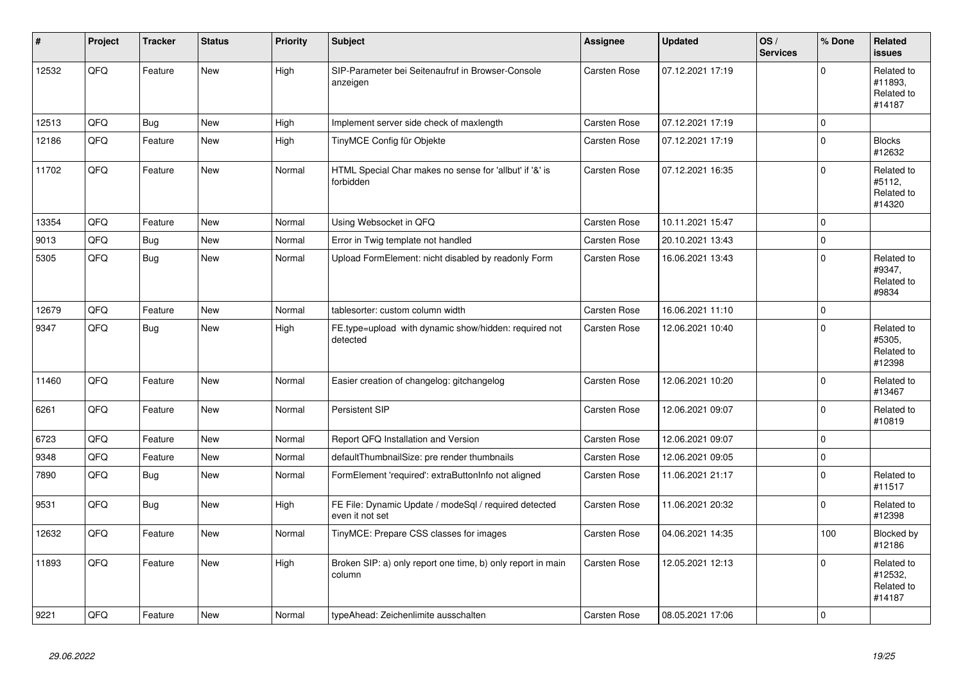| #     | Project    | <b>Tracker</b> | <b>Status</b> | <b>Priority</b> | <b>Subject</b>                                                           | Assignee            | <b>Updated</b>   | OS/<br><b>Services</b> | % Done      | Related<br><b>issues</b>                      |
|-------|------------|----------------|---------------|-----------------|--------------------------------------------------------------------------|---------------------|------------------|------------------------|-------------|-----------------------------------------------|
| 12532 | QFQ        | Feature        | <b>New</b>    | High            | SIP-Parameter bei Seitenaufruf in Browser-Console<br>anzeigen            | Carsten Rose        | 07.12.2021 17:19 |                        | $\Omega$    | Related to<br>#11893.<br>Related to<br>#14187 |
| 12513 | QFQ        | <b>Bug</b>     | <b>New</b>    | High            | Implement server side check of maxlength                                 | Carsten Rose        | 07.12.2021 17:19 |                        | $\Omega$    |                                               |
| 12186 | QFQ        | Feature        | <b>New</b>    | High            | TinyMCE Config für Objekte                                               | Carsten Rose        | 07.12.2021 17:19 |                        | $\Omega$    | <b>Blocks</b><br>#12632                       |
| 11702 | QFQ        | Feature        | New           | Normal          | HTML Special Char makes no sense for 'allbut' if '&' is<br>forbidden     | Carsten Rose        | 07.12.2021 16:35 |                        | $\Omega$    | Related to<br>#5112,<br>Related to<br>#14320  |
| 13354 | <b>OFO</b> | Feature        | <b>New</b>    | Normal          | Using Websocket in QFQ                                                   | Carsten Rose        | 10.11.2021 15:47 |                        | $\Omega$    |                                               |
| 9013  | QFQ        | <b>Bug</b>     | <b>New</b>    | Normal          | Error in Twig template not handled                                       | Carsten Rose        | 20.10.2021 13:43 |                        | $\Omega$    |                                               |
| 5305  | QFQ        | <b>Bug</b>     | <b>New</b>    | Normal          | Upload FormElement: nicht disabled by readonly Form                      | Carsten Rose        | 16.06.2021 13:43 |                        | $\Omega$    | Related to<br>#9347,<br>Related to<br>#9834   |
| 12679 | QFQ        | Feature        | <b>New</b>    | Normal          | tablesorter: custom column width                                         | Carsten Rose        | 16.06.2021 11:10 |                        | $\Omega$    |                                               |
| 9347  | QFQ        | <b>Bug</b>     | New           | High            | FE.type=upload with dynamic show/hidden: required not<br>detected        | Carsten Rose        | 12.06.2021 10:40 |                        | $\Omega$    | Related to<br>#5305,<br>Related to<br>#12398  |
| 11460 | QFQ        | Feature        | <b>New</b>    | Normal          | Easier creation of changelog: gitchangelog                               | Carsten Rose        | 12.06.2021 10:20 |                        | $\Omega$    | Related to<br>#13467                          |
| 6261  | QFQ        | Feature        | <b>New</b>    | Normal          | Persistent SIP                                                           | Carsten Rose        | 12.06.2021 09:07 |                        | $\Omega$    | Related to<br>#10819                          |
| 6723  | QFQ        | Feature        | <b>New</b>    | Normal          | Report QFQ Installation and Version                                      | Carsten Rose        | 12.06.2021 09:07 |                        | $\Omega$    |                                               |
| 9348  | QFQ        | Feature        | <b>New</b>    | Normal          | defaultThumbnailSize: pre render thumbnails                              | <b>Carsten Rose</b> | 12.06.2021 09:05 |                        | $\mathbf 0$ |                                               |
| 7890  | QFQ        | Bug            | <b>New</b>    | Normal          | FormElement 'required': extraButtonInfo not aligned                      | Carsten Rose        | 11.06.2021 21:17 |                        | $\mathbf 0$ | Related to<br>#11517                          |
| 9531  | QFQ        | <b>Bug</b>     | <b>New</b>    | High            | FE File: Dynamic Update / modeSql / required detected<br>even it not set | Carsten Rose        | 11.06.2021 20:32 |                        | $\Omega$    | Related to<br>#12398                          |
| 12632 | QFQ        | Feature        | <b>New</b>    | Normal          | TinyMCE: Prepare CSS classes for images                                  | Carsten Rose        | 04.06.2021 14:35 |                        | 100         | Blocked by<br>#12186                          |
| 11893 | <b>OFO</b> | Feature        | <b>New</b>    | High            | Broken SIP: a) only report one time, b) only report in main<br>column    | Carsten Rose        | 12.05.2021 12:13 |                        | $\Omega$    | Related to<br>#12532,<br>Related to<br>#14187 |
| 9221  | QFQ        | Feature        | New           | Normal          | typeAhead: Zeichenlimite ausschalten                                     | <b>Carsten Rose</b> | 08.05.2021 17:06 |                        | $\Omega$    |                                               |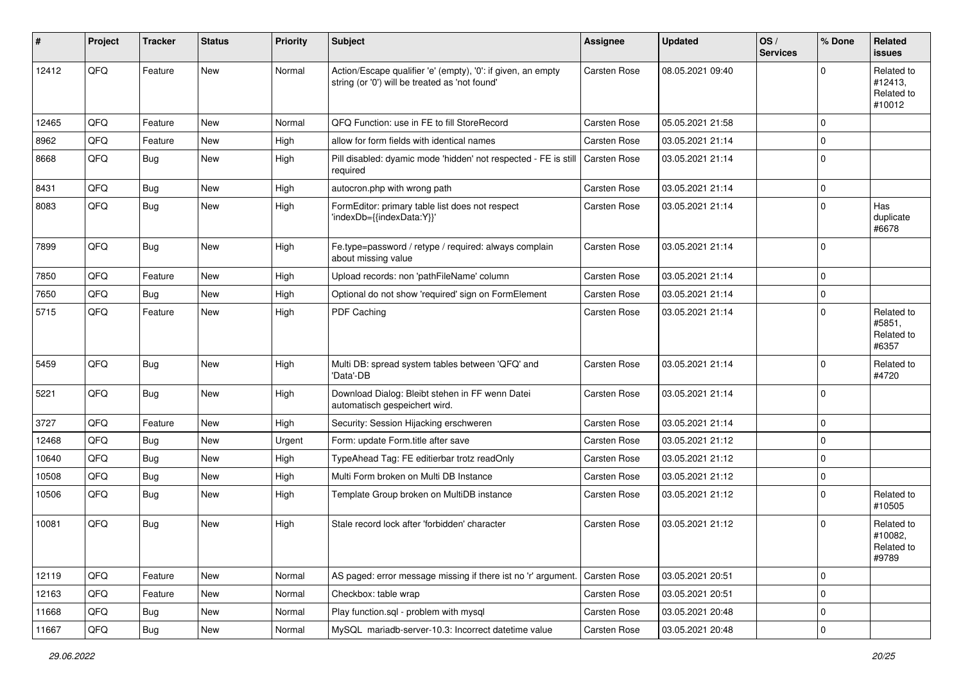| #     | Project | <b>Tracker</b> | <b>Status</b> | <b>Priority</b> | <b>Subject</b>                                                                                                 | <b>Assignee</b> | <b>Updated</b>   | OS/<br><b>Services</b> | % Done      | Related<br><b>issues</b>                            |
|-------|---------|----------------|---------------|-----------------|----------------------------------------------------------------------------------------------------------------|-----------------|------------------|------------------------|-------------|-----------------------------------------------------|
| 12412 | QFQ     | Feature        | New           | Normal          | Action/Escape qualifier 'e' (empty), '0': if given, an empty<br>string (or '0') will be treated as 'not found' | Carsten Rose    | 08.05.2021 09:40 |                        | $\Omega$    | Related to<br>#12413,<br>Related to<br>#10012       |
| 12465 | QFQ     | Feature        | <b>New</b>    | Normal          | QFQ Function: use in FE to fill StoreRecord                                                                    | Carsten Rose    | 05.05.2021 21:58 |                        | $\Omega$    |                                                     |
| 8962  | QFQ     | Feature        | New           | High            | allow for form fields with identical names                                                                     | Carsten Rose    | 03.05.2021 21:14 |                        | $\Omega$    |                                                     |
| 8668  | QFQ     | Bug            | New           | High            | Pill disabled: dyamic mode 'hidden' not respected - FE is still<br>required                                    | Carsten Rose    | 03.05.2021 21:14 |                        | $\Omega$    |                                                     |
| 8431  | QFQ     | Bug            | <b>New</b>    | High            | autocron.php with wrong path                                                                                   | Carsten Rose    | 03.05.2021 21:14 |                        | $\Omega$    |                                                     |
| 8083  | QFQ     | <b>Bug</b>     | New           | High            | FormEditor: primary table list does not respect<br>'indexDb={{indexData:Y}}'                                   | Carsten Rose    | 03.05.2021 21:14 |                        | $\Omega$    | Has<br>duplicate<br>#6678                           |
| 7899  | QFQ     | <b>Bug</b>     | <b>New</b>    | High            | Fe.type=password / retype / required: always complain<br>about missing value                                   | Carsten Rose    | 03.05.2021 21:14 |                        | $\Omega$    |                                                     |
| 7850  | QFQ     | Feature        | New           | High            | Upload records: non 'pathFileName' column                                                                      | Carsten Rose    | 03.05.2021 21:14 |                        | $\Omega$    |                                                     |
| 7650  | QFQ     | Bug            | <b>New</b>    | High            | Optional do not show 'required' sign on FormElement                                                            | Carsten Rose    | 03.05.2021 21:14 |                        | $\mathbf 0$ |                                                     |
| 5715  | QFQ     | Feature        | New           | High            | PDF Caching                                                                                                    | Carsten Rose    | 03.05.2021 21:14 |                        | $\Omega$    | Related to<br>#5851,<br>Related to<br>#6357         |
| 5459  | QFQ     | Bug            | New           | High            | Multi DB: spread system tables between 'QFQ' and<br>'Data'-DB                                                  | Carsten Rose    | 03.05.2021 21:14 |                        | $\Omega$    | Related to<br>#4720                                 |
| 5221  | QFQ     | Bug            | <b>New</b>    | High            | Download Dialog: Bleibt stehen in FF wenn Datei<br>automatisch gespeichert wird.                               | Carsten Rose    | 03.05.2021 21:14 |                        | $\Omega$    |                                                     |
| 3727  | QFQ     | Feature        | New           | High            | Security: Session Hijacking erschweren                                                                         | Carsten Rose    | 03.05.2021 21:14 |                        | $\Omega$    |                                                     |
| 12468 | QFQ     | Bug            | New           | Urgent          | Form: update Form.title after save                                                                             | Carsten Rose    | 03.05.2021 21:12 |                        | $\mathbf 0$ |                                                     |
| 10640 | QFQ     | Bug            | New           | High            | TypeAhead Tag: FE editierbar trotz readOnly                                                                    | Carsten Rose    | 03.05.2021 21:12 |                        | $\mathbf 0$ |                                                     |
| 10508 | QFQ     | Bug            | <b>New</b>    | High            | Multi Form broken on Multi DB Instance                                                                         | Carsten Rose    | 03.05.2021 21:12 |                        | $\mathbf 0$ |                                                     |
| 10506 | QFQ     | Bug            | New           | High            | Template Group broken on MultiDB instance                                                                      | Carsten Rose    | 03.05.2021 21:12 |                        | $\Omega$    | Related to<br>#10505                                |
| 10081 | QFQ     | Bug            | New           | High            | Stale record lock after 'forbidden' character                                                                  | Carsten Rose    | 03.05.2021 21:12 |                        | $\Omega$    | Related to<br>#10082,<br><b>Related to</b><br>#9789 |
| 12119 | QFQ     | Feature        | New           | Normal          | AS paged: error message missing if there ist no 'r' argument                                                   | Carsten Rose    | 03.05.2021 20:51 |                        | $\mathbf 0$ |                                                     |
| 12163 | QFQ     | Feature        | <b>New</b>    | Normal          | Checkbox: table wrap                                                                                           | Carsten Rose    | 03.05.2021 20:51 |                        | $\mathbf 0$ |                                                     |
| 11668 | QFQ     | <b>Bug</b>     | New           | Normal          | Play function.sql - problem with mysql                                                                         | Carsten Rose    | 03.05.2021 20:48 |                        | $\mathbf 0$ |                                                     |
| 11667 | QFQ     | Bug            | New           | Normal          | MySQL mariadb-server-10.3: Incorrect datetime value                                                            | Carsten Rose    | 03.05.2021 20:48 |                        | 0           |                                                     |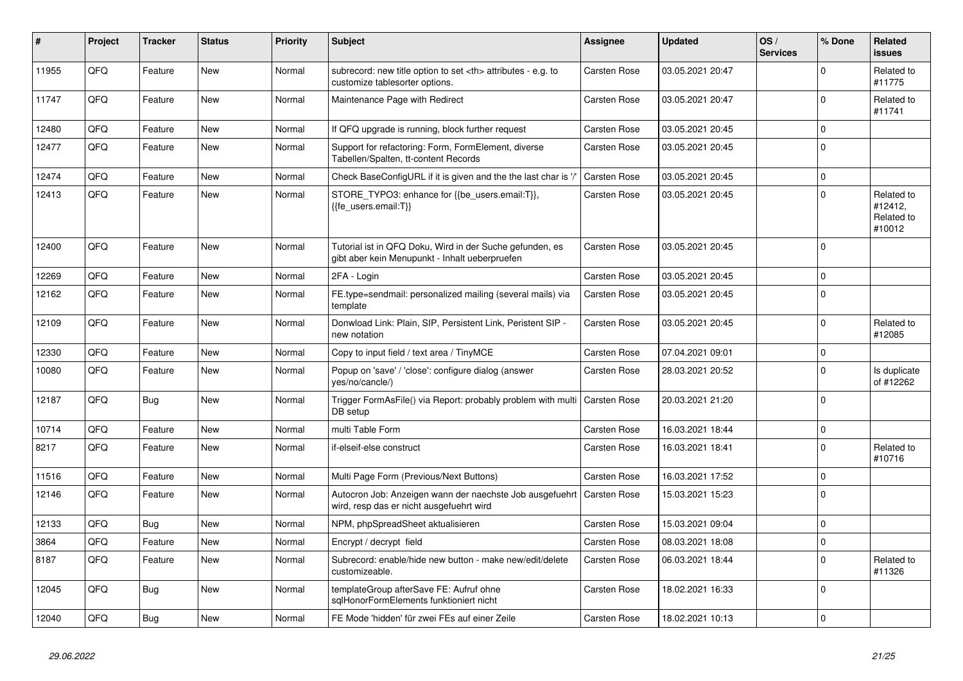| $\vert$ # | Project | <b>Tracker</b> | <b>Status</b> | <b>Priority</b> | <b>Subject</b>                                                                                             | Assignee                                               | <b>Updated</b>   | OS/<br><b>Services</b> | % Done      | Related<br><b>issues</b>                      |                      |
|-----------|---------|----------------|---------------|-----------------|------------------------------------------------------------------------------------------------------------|--------------------------------------------------------|------------------|------------------------|-------------|-----------------------------------------------|----------------------|
| 11955     | QFQ     | Feature        | <b>New</b>    | Normal          | subrecord: new title option to set <th> attributes - e.g. to<br/>customize tablesorter options.</th>       | attributes - e.g. to<br>customize tablesorter options. | Carsten Rose     | 03.05.2021 20:47       |             | $\Omega$                                      | Related to<br>#11775 |
| 11747     | QFQ     | Feature        | New           | Normal          | Maintenance Page with Redirect                                                                             | Carsten Rose                                           | 03.05.2021 20:47 |                        | $\mathbf 0$ | Related to<br>#11741                          |                      |
| 12480     | QFQ     | Feature        | <b>New</b>    | Normal          | If QFQ upgrade is running, block further request                                                           | Carsten Rose                                           | 03.05.2021 20:45 |                        | $\Omega$    |                                               |                      |
| 12477     | QFQ     | Feature        | <b>New</b>    | Normal          | Support for refactoring: Form, FormElement, diverse<br>Tabellen/Spalten, tt-content Records                | <b>Carsten Rose</b>                                    | 03.05.2021 20:45 |                        | $\Omega$    |                                               |                      |
| 12474     | QFQ     | Feature        | <b>New</b>    | Normal          | Check BaseConfigURL if it is given and the the last char is '/                                             | <b>Carsten Rose</b>                                    | 03.05.2021 20:45 |                        | $\Omega$    |                                               |                      |
| 12413     | QFQ     | Feature        | <b>New</b>    | Normal          | STORE_TYPO3: enhance for {{be_users.email:T}},<br>{{fe users.email:T}}                                     | Carsten Rose                                           | 03.05.2021 20:45 |                        | $\Omega$    | Related to<br>#12412,<br>Related to<br>#10012 |                      |
| 12400     | QFQ     | Feature        | <b>New</b>    | Normal          | Tutorial ist in QFQ Doku, Wird in der Suche gefunden, es<br>gibt aber kein Menupunkt - Inhalt ueberpruefen | <b>Carsten Rose</b>                                    | 03.05.2021 20:45 |                        | $\Omega$    |                                               |                      |
| 12269     | QFQ     | Feature        | <b>New</b>    | Normal          | 2FA - Login                                                                                                | Carsten Rose                                           | 03.05.2021 20:45 |                        | $\mathbf 0$ |                                               |                      |
| 12162     | QFQ     | Feature        | <b>New</b>    | Normal          | FE.type=sendmail: personalized mailing (several mails) via<br>template                                     | <b>Carsten Rose</b>                                    | 03.05.2021 20:45 |                        | $\Omega$    |                                               |                      |
| 12109     | QFQ     | Feature        | New           | Normal          | Donwload Link: Plain, SIP, Persistent Link, Peristent SIP -<br>new notation                                | <b>Carsten Rose</b>                                    | 03.05.2021 20:45 |                        | $\Omega$    | Related to<br>#12085                          |                      |
| 12330     | QFQ     | Feature        | <b>New</b>    | Normal          | Copy to input field / text area / TinyMCE                                                                  | Carsten Rose                                           | 07.04.2021 09:01 |                        | $\mathbf 0$ |                                               |                      |
| 10080     | QFQ     | Feature        | <b>New</b>    | Normal          | Popup on 'save' / 'close': configure dialog (answer<br>yes/no/cancle/)                                     | <b>Carsten Rose</b>                                    | 28.03.2021 20:52 |                        | $\Omega$    | Is duplicate<br>of #12262                     |                      |
| 12187     | QFQ     | Bug            | <b>New</b>    | Normal          | Trigger FormAsFile() via Report: probably problem with multi<br>DB setup                                   | <b>Carsten Rose</b>                                    | 20.03.2021 21:20 |                        | $\Omega$    |                                               |                      |
| 10714     | QFQ     | Feature        | <b>New</b>    | Normal          | multi Table Form                                                                                           | <b>Carsten Rose</b>                                    | 16.03.2021 18:44 |                        | $\Omega$    |                                               |                      |
| 8217      | QFQ     | Feature        | <b>New</b>    | Normal          | if-elseif-else construct                                                                                   | <b>Carsten Rose</b>                                    | 16.03.2021 18:41 |                        | $\Omega$    | Related to<br>#10716                          |                      |
| 11516     | QFQ     | Feature        | <b>New</b>    | Normal          | Multi Page Form (Previous/Next Buttons)                                                                    | Carsten Rose                                           | 16.03.2021 17:52 |                        | $\mathbf 0$ |                                               |                      |
| 12146     | QFQ     | Feature        | <b>New</b>    | Normal          | Autocron Job: Anzeigen wann der naechste Job ausgefuehrt<br>wird, resp das er nicht ausgefuehrt wird       | <b>Carsten Rose</b>                                    | 15.03.2021 15:23 |                        | $\Omega$    |                                               |                      |
| 12133     | QFQ     | Bug            | <b>New</b>    | Normal          | NPM, phpSpreadSheet aktualisieren                                                                          | Carsten Rose                                           | 15.03.2021 09:04 |                        | $\Omega$    |                                               |                      |
| 3864      | QFQ     | Feature        | <b>New</b>    | Normal          | Encrypt / decrypt field                                                                                    | Carsten Rose                                           | 08.03.2021 18:08 |                        | $\mathbf 0$ |                                               |                      |
| 8187      | QFQ     | Feature        | New           | Normal          | Subrecord: enable/hide new button - make new/edit/delete<br>customizeable.                                 | Carsten Rose                                           | 06.03.2021 18:44 |                        | $\Omega$    | Related to<br>#11326                          |                      |
| 12045     | QFQ     | <b>Bug</b>     | <b>New</b>    | Normal          | templateGroup afterSave FE: Aufruf ohne<br>sglHonorFormElements funktioniert nicht                         | <b>Carsten Rose</b>                                    | 18.02.2021 16:33 |                        | $\Omega$    |                                               |                      |
| 12040     | QFQ     | Bug            | <b>New</b>    | Normal          | FE Mode 'hidden' für zwei FEs auf einer Zeile                                                              | <b>Carsten Rose</b>                                    | 18.02.2021 10:13 |                        | $\Omega$    |                                               |                      |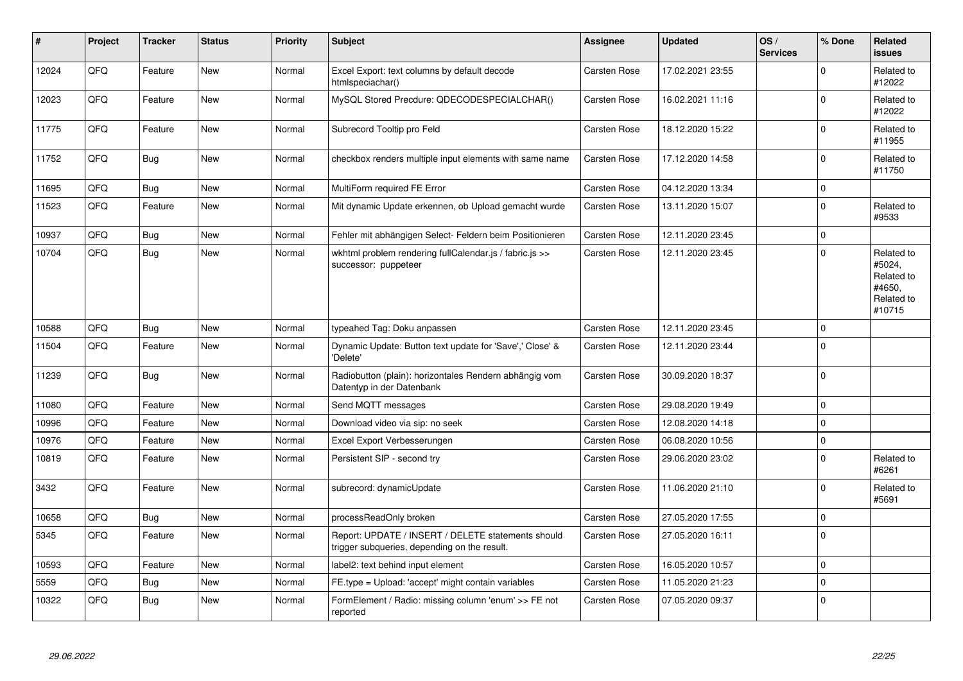| ∦     | Project | <b>Tracker</b> | <b>Status</b> | <b>Priority</b> | <b>Subject</b>                                                                                     | Assignee            | <b>Updated</b>   | OS/<br><b>Services</b> | % Done      | Related<br><b>issues</b>                                             |
|-------|---------|----------------|---------------|-----------------|----------------------------------------------------------------------------------------------------|---------------------|------------------|------------------------|-------------|----------------------------------------------------------------------|
| 12024 | QFQ     | Feature        | <b>New</b>    | Normal          | Excel Export: text columns by default decode<br>htmlspeciachar()                                   | Carsten Rose        | 17.02.2021 23:55 |                        | $\Omega$    | Related to<br>#12022                                                 |
| 12023 | QFQ     | Feature        | <b>New</b>    | Normal          | MySQL Stored Precdure: QDECODESPECIALCHAR()                                                        | Carsten Rose        | 16.02.2021 11:16 |                        | $\Omega$    | Related to<br>#12022                                                 |
| 11775 | QFQ     | Feature        | <b>New</b>    | Normal          | Subrecord Tooltip pro Feld                                                                         | Carsten Rose        | 18.12.2020 15:22 |                        | $\Omega$    | Related to<br>#11955                                                 |
| 11752 | QFQ     | Bug            | <b>New</b>    | Normal          | checkbox renders multiple input elements with same name                                            | Carsten Rose        | 17.12.2020 14:58 |                        | $\Omega$    | Related to<br>#11750                                                 |
| 11695 | QFQ     | Bug            | <b>New</b>    | Normal          | MultiForm required FE Error                                                                        | <b>Carsten Rose</b> | 04.12.2020 13:34 |                        | $\Omega$    |                                                                      |
| 11523 | QFQ     | Feature        | New           | Normal          | Mit dynamic Update erkennen, ob Upload gemacht wurde                                               | Carsten Rose        | 13.11.2020 15:07 |                        | $\Omega$    | Related to<br>#9533                                                  |
| 10937 | QFQ     | Bug            | <b>New</b>    | Normal          | Fehler mit abhängigen Select- Feldern beim Positionieren                                           | Carsten Rose        | 12.11.2020 23:45 |                        | $\mathbf 0$ |                                                                      |
| 10704 | QFQ     | Bug            | New           | Normal          | wkhtml problem rendering fullCalendar.js / fabric.js >><br>successor: puppeteer                    | <b>Carsten Rose</b> | 12.11.2020 23:45 |                        | $\Omega$    | Related to<br>#5024,<br>Related to<br>#4650,<br>Related to<br>#10715 |
| 10588 | QFQ     | Bug            | <b>New</b>    | Normal          | typeahed Tag: Doku anpassen                                                                        | Carsten Rose        | 12.11.2020 23:45 |                        | $\Omega$    |                                                                      |
| 11504 | QFQ     | Feature        | <b>New</b>    | Normal          | Dynamic Update: Button text update for 'Save',' Close' &<br>'Delete'                               | Carsten Rose        | 12.11.2020 23:44 |                        | $\Omega$    |                                                                      |
| 11239 | QFQ     | Bug            | <b>New</b>    | Normal          | Radiobutton (plain): horizontales Rendern abhängig vom<br>Datentyp in der Datenbank                | Carsten Rose        | 30.09.2020 18:37 |                        | $\Omega$    |                                                                      |
| 11080 | QFQ     | Feature        | New           | Normal          | Send MQTT messages                                                                                 | Carsten Rose        | 29.08.2020 19:49 |                        | $\Omega$    |                                                                      |
| 10996 | QFQ     | Feature        | New           | Normal          | Download video via sip: no seek                                                                    | Carsten Rose        | 12.08.2020 14:18 |                        | $\mathbf 0$ |                                                                      |
| 10976 | QFQ     | Feature        | <b>New</b>    | Normal          | Excel Export Verbesserungen                                                                        | <b>Carsten Rose</b> | 06.08.2020 10:56 |                        | $\Omega$    |                                                                      |
| 10819 | QFQ     | Feature        | <b>New</b>    | Normal          | Persistent SIP - second try                                                                        | Carsten Rose        | 29.06.2020 23:02 |                        | $\Omega$    | Related to<br>#6261                                                  |
| 3432  | QFQ     | Feature        | New           | Normal          | subrecord: dynamicUpdate                                                                           | <b>Carsten Rose</b> | 11.06.2020 21:10 |                        | $\Omega$    | Related to<br>#5691                                                  |
| 10658 | QFQ     | Bug            | <b>New</b>    | Normal          | processReadOnly broken                                                                             | Carsten Rose        | 27.05.2020 17:55 |                        | $\Omega$    |                                                                      |
| 5345  | QFQ     | Feature        | <b>New</b>    | Normal          | Report: UPDATE / INSERT / DELETE statements should<br>trigger subqueries, depending on the result. | <b>Carsten Rose</b> | 27.05.2020 16:11 |                        | $\Omega$    |                                                                      |
| 10593 | QFQ     | Feature        | New           | Normal          | label2: text behind input element                                                                  | <b>Carsten Rose</b> | 16.05.2020 10:57 |                        | $\mathbf 0$ |                                                                      |
| 5559  | QFQ     | <b>Bug</b>     | <b>New</b>    | Normal          | FE.type = Upload: 'accept' might contain variables                                                 | Carsten Rose        | 11.05.2020 21:23 |                        | $\Omega$    |                                                                      |
| 10322 | QFQ     | Bug            | New           | Normal          | FormElement / Radio: missing column 'enum' >> FE not<br>reported                                   | Carsten Rose        | 07.05.2020 09:37 |                        | $\Omega$    |                                                                      |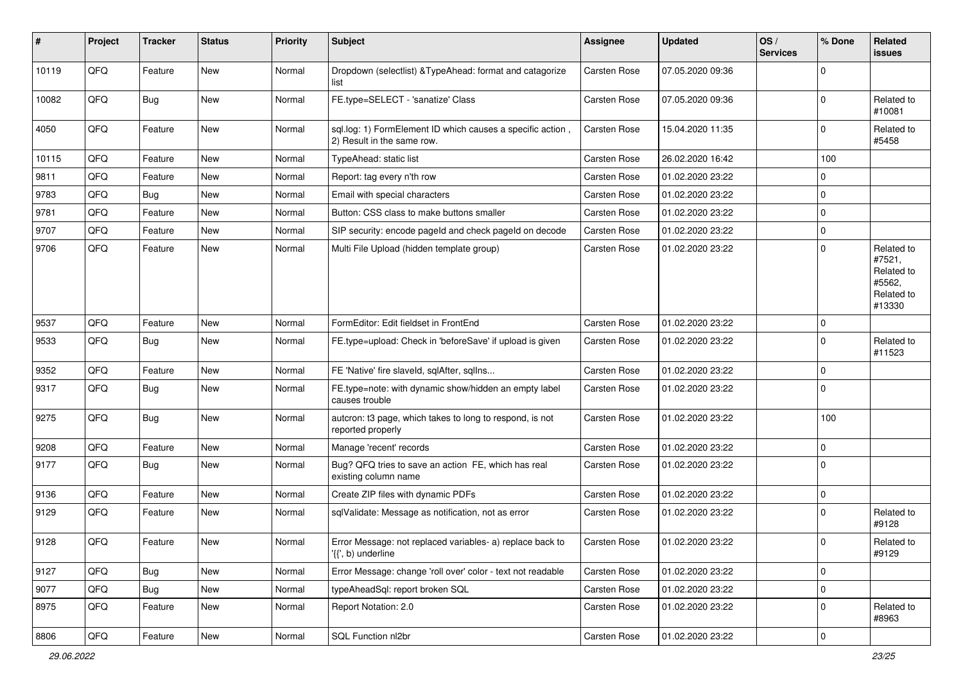| #     | Project | <b>Tracker</b> | <b>Status</b> | <b>Priority</b> | Subject                                                                                  | <b>Assignee</b>     | <b>Updated</b>   | OS/<br><b>Services</b> | % Done      | Related<br>issues                                                    |
|-------|---------|----------------|---------------|-----------------|------------------------------------------------------------------------------------------|---------------------|------------------|------------------------|-------------|----------------------------------------------------------------------|
| 10119 | QFQ     | Feature        | <b>New</b>    | Normal          | Dropdown (selectlist) & TypeAhead: format and catagorize<br>list                         | Carsten Rose        | 07.05.2020 09:36 |                        | $\Omega$    |                                                                      |
| 10082 | QFQ     | <b>Bug</b>     | New           | Normal          | FE.type=SELECT - 'sanatize' Class                                                        | <b>Carsten Rose</b> | 07.05.2020 09:36 |                        | $\Omega$    | Related to<br>#10081                                                 |
| 4050  | QFQ     | Feature        | <b>New</b>    | Normal          | sql.log: 1) FormElement ID which causes a specific action,<br>2) Result in the same row. | <b>Carsten Rose</b> | 15.04.2020 11:35 |                        | $\Omega$    | Related to<br>#5458                                                  |
| 10115 | QFQ     | Feature        | New           | Normal          | TypeAhead: static list                                                                   | <b>Carsten Rose</b> | 26.02.2020 16:42 |                        | 100         |                                                                      |
| 9811  | QFQ     | Feature        | New           | Normal          | Report: tag every n'th row                                                               | <b>Carsten Rose</b> | 01.02.2020 23:22 |                        | $\Omega$    |                                                                      |
| 9783  | QFQ     | Bug            | <b>New</b>    | Normal          | Email with special characters                                                            | <b>Carsten Rose</b> | 01.02.2020 23:22 |                        | 0           |                                                                      |
| 9781  | QFQ     | Feature        | New           | Normal          | Button: CSS class to make buttons smaller                                                | <b>Carsten Rose</b> | 01.02.2020 23:22 |                        | 0           |                                                                      |
| 9707  | QFQ     | Feature        | New           | Normal          | SIP security: encode pageId and check pageId on decode                                   | Carsten Rose        | 01.02.2020 23:22 |                        | $\mathbf 0$ |                                                                      |
| 9706  | QFQ     | Feature        | <b>New</b>    | Normal          | Multi File Upload (hidden template group)                                                | <b>Carsten Rose</b> | 01.02.2020 23:22 |                        | $\Omega$    | Related to<br>#7521,<br>Related to<br>#5562,<br>Related to<br>#13330 |
| 9537  | QFQ     | Feature        | New           | Normal          | FormEditor: Edit fieldset in FrontEnd                                                    | <b>Carsten Rose</b> | 01.02.2020 23:22 |                        | 0           |                                                                      |
| 9533  | QFQ     | Bug            | New           | Normal          | FE.type=upload: Check in 'beforeSave' if upload is given                                 | Carsten Rose        | 01.02.2020 23:22 |                        | $\Omega$    | Related to<br>#11523                                                 |
| 9352  | QFQ     | Feature        | New           | Normal          | FE 'Native' fire slaveld, sqlAfter, sqlIns                                               | <b>Carsten Rose</b> | 01.02.2020 23:22 |                        | $\Omega$    |                                                                      |
| 9317  | QFQ     | <b>Bug</b>     | New           | Normal          | FE.type=note: with dynamic show/hidden an empty label<br>causes trouble                  | <b>Carsten Rose</b> | 01.02.2020 23:22 |                        | 0           |                                                                      |
| 9275  | QFQ     | Bug            | New           | Normal          | autcron: t3 page, which takes to long to respond, is not<br>reported properly            | <b>Carsten Rose</b> | 01.02.2020 23:22 |                        | 100         |                                                                      |
| 9208  | QFQ     | Feature        | New           | Normal          | Manage 'recent' records                                                                  | <b>Carsten Rose</b> | 01.02.2020 23:22 |                        | $\mathbf 0$ |                                                                      |
| 9177  | QFQ     | Bug            | <b>New</b>    | Normal          | Bug? QFQ tries to save an action FE, which has real<br>existing column name              | Carsten Rose        | 01.02.2020 23:22 |                        | $\Omega$    |                                                                      |
| 9136  | QFQ     | Feature        | New           | Normal          | Create ZIP files with dynamic PDFs                                                       | <b>Carsten Rose</b> | 01.02.2020 23:22 |                        | $\mathbf 0$ |                                                                      |
| 9129  | QFQ     | Feature        | New           | Normal          | sqlValidate: Message as notification, not as error                                       | <b>Carsten Rose</b> | 01.02.2020 23:22 |                        | $\Omega$    | Related to<br>#9128                                                  |
| 9128  | QFQ     | Feature        | New           | Normal          | Error Message: not replaced variables- a) replace back to<br>'{{', b) underline          | <b>Carsten Rose</b> | 01.02.2020 23:22 |                        | 0           | Related to<br>#9129                                                  |
| 9127  | QFQ     | Bug            | New           | Normal          | Error Message: change 'roll over' color - text not readable                              | <b>Carsten Rose</b> | 01.02.2020 23:22 |                        | $\mathbf 0$ |                                                                      |
| 9077  | QFQ     | <b>Bug</b>     | New           | Normal          | typeAheadSql: report broken SQL                                                          | Carsten Rose        | 01.02.2020 23:22 |                        | 0           |                                                                      |
| 8975  | QFQ     | Feature        | New           | Normal          | Report Notation: 2.0                                                                     | Carsten Rose        | 01.02.2020 23:22 |                        | $\Omega$    | Related to<br>#8963                                                  |
| 8806  | QFG     | Feature        | New           | Normal          | SQL Function nl2br                                                                       | Carsten Rose        | 01.02.2020 23:22 |                        | 0           |                                                                      |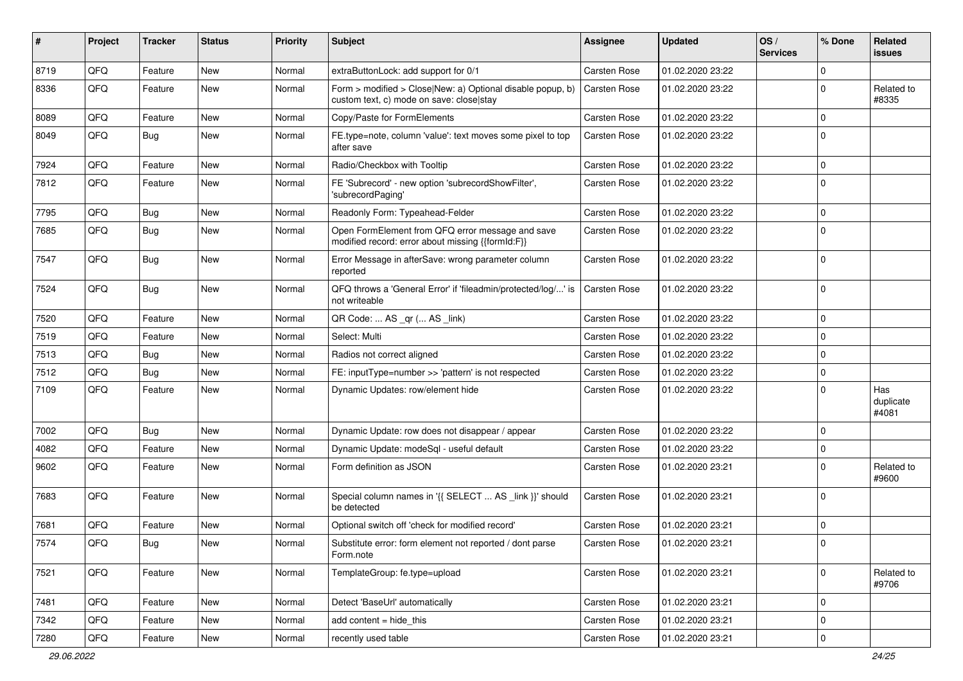| ∦    | Project | <b>Tracker</b> | <b>Status</b> | <b>Priority</b> | <b>Subject</b>                                                                                         | <b>Assignee</b>     | <b>Updated</b>   | OS/<br><b>Services</b> | % Done      | Related<br>issues         |
|------|---------|----------------|---------------|-----------------|--------------------------------------------------------------------------------------------------------|---------------------|------------------|------------------------|-------------|---------------------------|
| 8719 | QFQ     | Feature        | <b>New</b>    | Normal          | extraButtonLock: add support for 0/1                                                                   | Carsten Rose        | 01.02.2020 23:22 |                        | $\Omega$    |                           |
| 8336 | QFQ     | Feature        | <b>New</b>    | Normal          | Form > modified > Close New: a) Optional disable popup, b)<br>custom text, c) mode on save: close stay | <b>Carsten Rose</b> | 01.02.2020 23:22 |                        | $\Omega$    | Related to<br>#8335       |
| 8089 | QFQ     | Feature        | <b>New</b>    | Normal          | Copy/Paste for FormElements                                                                            | Carsten Rose        | 01.02.2020 23:22 |                        | 0           |                           |
| 8049 | QFQ     | Bug            | <b>New</b>    | Normal          | FE.type=note, column 'value': text moves some pixel to top<br>after save                               | <b>Carsten Rose</b> | 01.02.2020 23:22 |                        | $\Omega$    |                           |
| 7924 | QFQ     | Feature        | New           | Normal          | Radio/Checkbox with Tooltip                                                                            | <b>Carsten Rose</b> | 01.02.2020 23:22 |                        | 0           |                           |
| 7812 | QFQ     | Feature        | New           | Normal          | FE 'Subrecord' - new option 'subrecordShowFilter',<br>'subrecordPaging'                                | <b>Carsten Rose</b> | 01.02.2020 23:22 |                        | $\Omega$    |                           |
| 7795 | QFQ     | Bug            | New           | Normal          | Readonly Form: Typeahead-Felder                                                                        | <b>Carsten Rose</b> | 01.02.2020 23:22 |                        | 0           |                           |
| 7685 | QFQ     | Bug            | New           | Normal          | Open FormElement from QFQ error message and save<br>modified record: error about missing {{formId:F}}  | <b>Carsten Rose</b> | 01.02.2020 23:22 |                        | $\Omega$    |                           |
| 7547 | QFQ     | Bug            | <b>New</b>    | Normal          | Error Message in afterSave: wrong parameter column<br>reported                                         | <b>Carsten Rose</b> | 01.02.2020 23:22 |                        | $\Omega$    |                           |
| 7524 | QFQ     | Bug            | <b>New</b>    | Normal          | QFQ throws a 'General Error' if 'fileadmin/protected/log/' is<br>not writeable                         | <b>Carsten Rose</b> | 01.02.2020 23:22 |                        | 0           |                           |
| 7520 | QFQ     | Feature        | New           | Normal          | QR Code:  AS _qr ( AS _link)                                                                           | <b>Carsten Rose</b> | 01.02.2020 23:22 |                        | 0           |                           |
| 7519 | QFQ     | Feature        | New           | Normal          | Select: Multi                                                                                          | <b>Carsten Rose</b> | 01.02.2020 23:22 |                        | 0           |                           |
| 7513 | QFQ     | Bug            | New           | Normal          | Radios not correct aligned                                                                             | <b>Carsten Rose</b> | 01.02.2020 23:22 |                        | $\Omega$    |                           |
| 7512 | QFQ     | <b>Bug</b>     | <b>New</b>    | Normal          | FE: inputType=number >> 'pattern' is not respected                                                     | Carsten Rose        | 01.02.2020 23:22 |                        | $\Omega$    |                           |
| 7109 | QFQ     | Feature        | <b>New</b>    | Normal          | Dynamic Updates: row/element hide                                                                      | <b>Carsten Rose</b> | 01.02.2020 23:22 |                        | $\Omega$    | Has<br>duplicate<br>#4081 |
| 7002 | QFQ     | Bug            | <b>New</b>    | Normal          | Dynamic Update: row does not disappear / appear                                                        | <b>Carsten Rose</b> | 01.02.2020 23:22 |                        | $\Omega$    |                           |
| 4082 | QFQ     | Feature        | New           | Normal          | Dynamic Update: modeSql - useful default                                                               | Carsten Rose        | 01.02.2020 23:22 |                        | $\Omega$    |                           |
| 9602 | QFQ     | Feature        | New           | Normal          | Form definition as JSON                                                                                | <b>Carsten Rose</b> | 01.02.2020 23:21 |                        | $\Omega$    | Related to<br>#9600       |
| 7683 | QFQ     | Feature        | <b>New</b>    | Normal          | Special column names in '{{ SELECT  AS _link }}' should<br>be detected                                 | <b>Carsten Rose</b> | 01.02.2020 23:21 |                        | 0           |                           |
| 7681 | QFQ     | Feature        | New           | Normal          | Optional switch off 'check for modified record'                                                        | <b>Carsten Rose</b> | 01.02.2020 23:21 |                        | $\mathbf 0$ |                           |
| 7574 | QFQ     | Bug            | New           | Normal          | Substitute error: form element not reported / dont parse<br>Form.note                                  | Carsten Rose        | 01.02.2020 23:21 |                        | $\Omega$    |                           |
| 7521 | QFQ     | Feature        | New           | Normal          | TemplateGroup: fe.type=upload                                                                          | Carsten Rose        | 01.02.2020 23:21 |                        | $\mathbf 0$ | Related to<br>#9706       |
| 7481 | QFQ     | Feature        | New           | Normal          | Detect 'BaseUrl' automatically                                                                         | Carsten Rose        | 01.02.2020 23:21 |                        | 0           |                           |
| 7342 | QFQ     | Feature        | New           | Normal          | add content = hide_this                                                                                | Carsten Rose        | 01.02.2020 23:21 |                        | 0           |                           |
| 7280 | QFQ     | Feature        | New           | Normal          | recently used table                                                                                    | Carsten Rose        | 01.02.2020 23:21 |                        | $\mathbf 0$ |                           |